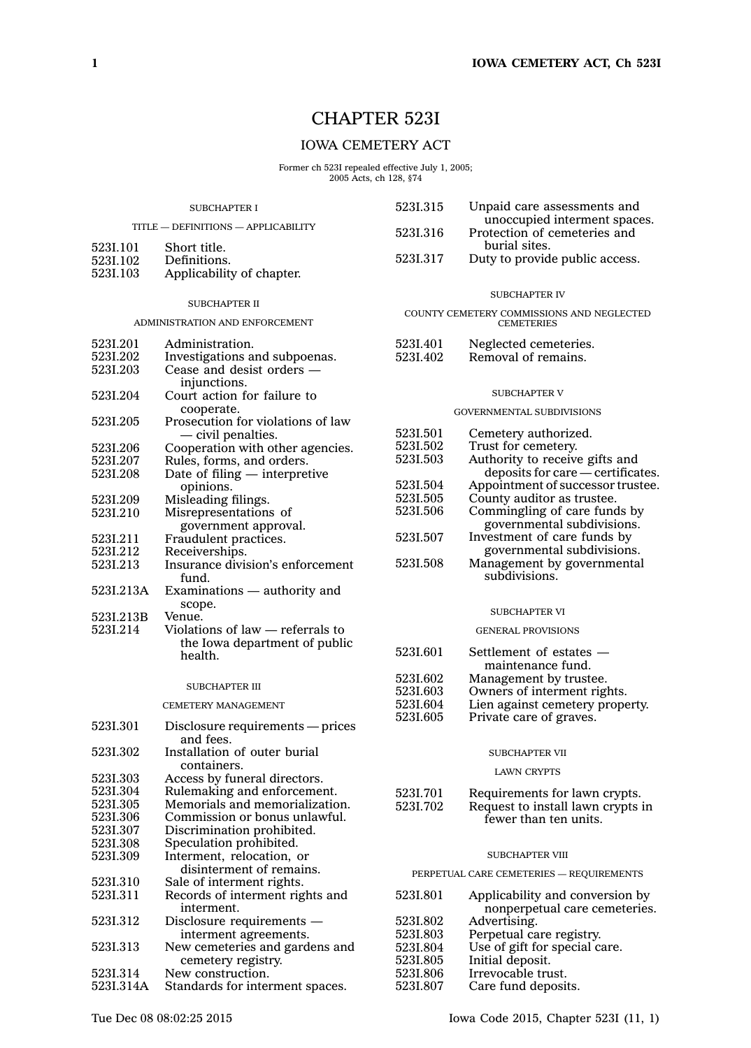# CHAPTER 523I

# IOWA CEMETERY ACT

Former ch 523I repealed effective July 1, 2005; 2005 Acts, ch 128, §74

| <b>SUBCHAPTER I</b>                 |                                                               | 523I.315                                 | Unpaid care assessments and                                    |
|-------------------------------------|---------------------------------------------------------------|------------------------------------------|----------------------------------------------------------------|
| TITLE - DEFINITIONS - APPLICABILITY |                                                               | 5231.316                                 | unoccupied interment spaces.<br>Protection of cemeteries and   |
| 523I.101                            | Short title.                                                  |                                          | burial sites.                                                  |
| 523I.102                            | Definitions.                                                  | 5231.317                                 | Duty to provide public access.                                 |
| 523I.103                            | Applicability of chapter.                                     |                                          |                                                                |
|                                     |                                                               |                                          | <b>SUBCHAPTER IV</b>                                           |
|                                     | <b>SUBCHAPTER II</b>                                          |                                          |                                                                |
|                                     | ADMINISTRATION AND ENFORCEMENT                                |                                          | COUNTY CEMETERY COMMISSIONS AND NEGLECTED<br><b>CEMETERIES</b> |
| 5231.201                            | Administration.                                               | 523I.401                                 | Neglected cemeteries.                                          |
| 5231.202                            | Investigations and subpoenas.                                 | 5231.402                                 | Removal of remains.                                            |
| 5231.203                            | Cease and desist orders —<br>injunctions.                     |                                          |                                                                |
| 5231.204                            | Court action for failure to                                   |                                          | <b>SUBCHAPTER V</b>                                            |
|                                     | cooperate.                                                    |                                          | GOVERNMENTAL SUBDIVISIONS                                      |
| 5231.205                            | Prosecution for violations of law                             |                                          |                                                                |
| 5231.206                            | - civil penalties.                                            | 5231.501<br>5231.502                     | Cemetery authorized.<br>Trust for cemetery.                    |
| 5231.207                            | Cooperation with other agencies.<br>Rules, forms, and orders. | 5231.503                                 | Authority to receive gifts and                                 |
| 5231.208                            | Date of filing $-$ interpretive                               |                                          | deposits for care - certificates.                              |
|                                     | opinions.                                                     | 5231.504                                 | Appointment of successor trustee.                              |
| 5231.209                            | Misleading filings.                                           | 5231.505                                 | County auditor as trustee.                                     |
| 5231.210                            | Misrepresentations of                                         | 5231.506                                 | Commingling of care funds by                                   |
|                                     | government approval.                                          |                                          | governmental subdivisions.                                     |
| 5231.211                            | Fraudulent practices.                                         | 5231.507                                 | Investment of care funds by                                    |
| 5231.212                            | Receiverships.                                                | 5231.508                                 | governmental subdivisions.                                     |
| 5231.213                            | Insurance division's enforcement<br>fund.                     |                                          | Management by governmental<br>subdivisions.                    |
| 523I.213A                           | Examinations — authority and                                  |                                          |                                                                |
| 523I.213B                           | scope.<br>Venue.                                              |                                          | <b>SUBCHAPTER VI</b>                                           |
| 5231.214                            | Violations of law — referrals to                              |                                          | <b>GENERAL PROVISIONS</b>                                      |
|                                     | the Iowa department of public                                 |                                          |                                                                |
|                                     | health.                                                       | 5231.601                                 | Settlement of estates -<br>maintenance fund.                   |
|                                     |                                                               | 5231.602                                 | Management by trustee.                                         |
|                                     | <b>SUBCHAPTER III</b>                                         | 5231.603                                 | Owners of interment rights.                                    |
|                                     | <b>CEMETERY MANAGEMENT</b>                                    | 5231.604                                 | Lien against cemetery property.                                |
| 5231.301                            |                                                               | 5231,605                                 | Private care of graves.                                        |
|                                     | Disclosure requirements — prices<br>and fees.                 |                                          |                                                                |
| 5231.302                            | Installation of outer burial                                  |                                          | <b>SUBCHAPTER VII</b>                                          |
|                                     | containers.                                                   |                                          | <b>LAWN CRYPTS</b>                                             |
| 5231.303                            | Access by funeral directors.                                  |                                          |                                                                |
| 5231.304<br>5231.305                | Rulemaking and enforcement.<br>Memorials and memorialization. | 5231.701                                 | Requirements for lawn crypts.                                  |
| 5231.306                            | Commission or bonus unlawful.                                 | 5231.702                                 | Request to install lawn crypts in<br>fewer than ten units.     |
| 5231.307                            | Discrimination prohibited.                                    |                                          |                                                                |
| 523I.308                            | Speculation prohibited.                                       |                                          |                                                                |
| 5231.309                            | Interment, relocation, or                                     |                                          | <b>SUBCHAPTER VIII</b>                                         |
| 5231.310                            | disinterment of remains.<br>Sale of interment rights.         | PERPETUAL CARE CEMETERIES - REQUIREMENTS |                                                                |
| 5231.311                            | Records of interment rights and                               | 5231.801                                 | Applicability and conversion by                                |
|                                     | interment.                                                    |                                          | nonperpetual care cemeteries.                                  |
| 5231.312                            | Disclosure requirements $-$                                   | 5231.802                                 | Advertising.                                                   |
|                                     | interment agreements.                                         | 5231.803                                 | Perpetual care registry.                                       |
| 5231.313                            | New cemeteries and gardens and                                | 5231.804                                 | Use of gift for special care.                                  |
|                                     | cemetery registry.                                            | 5231.805                                 | Initial deposit.                                               |
| 523I.314                            | New construction.                                             | 5231.806                                 | Irrevocable trust.                                             |
| 523I.314A                           | Standards for interment spaces.                               | 5231.807                                 | Care fund deposits.                                            |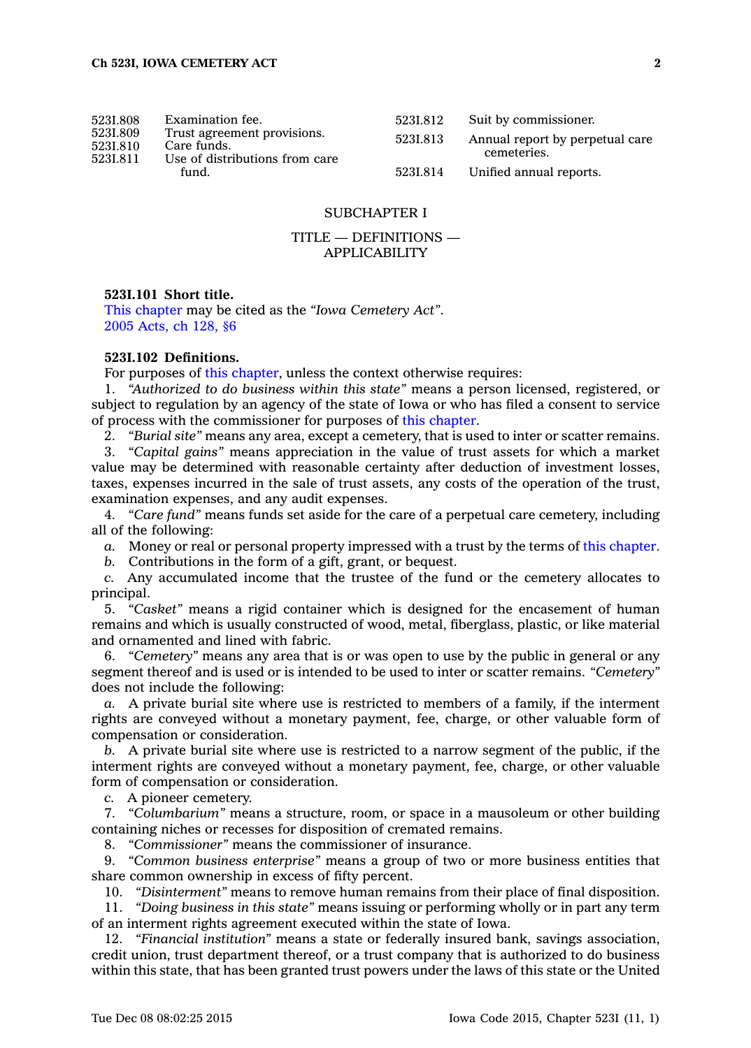| 5231.808                         | Examination fee.                                                                      | 5231.812 | Suit by commissioner.                          |
|----------------------------------|---------------------------------------------------------------------------------------|----------|------------------------------------------------|
| 5231.809<br>5231.810<br>5231.811 | Trust agreement provisions.<br>Care funds.<br>Use of distributions from care<br>fund. | 5231.813 | Annual report by perpetual care<br>cemeteries. |
|                                  |                                                                                       | 5231.814 | Unified annual reports.                        |

# SUBCHAPTER I

# TITLE — DEFINITIONS — APPLICABILITY

### **523I.101 Short title.**

This [chapter](https://www.legis.iowa.gov/docs/code//523I.pdf) may be cited as the *"Iowa Cemetery Act"*. 2005 [Acts,](https://www.legis.iowa.gov/docs/acts/2005/CH0128.pdf) ch 128, §6

# **523I.102 Definitions.**

For purposes of this [chapter](https://www.legis.iowa.gov/docs/code//523I.pdf), unless the context otherwise requires:

1. *"Authorized to do business within this state"* means <sup>a</sup> person licensed, registered, or subject to regulation by an agency of the state of Iowa or who has filed <sup>a</sup> consent to service of process with the commissioner for purposes of this [chapter](https://www.legis.iowa.gov/docs/code//523I.pdf).

2. *"Burial site"* means any area, except <sup>a</sup> cemetery, that is used to inter or scatter remains.

3. *"Capital gains"* means appreciation in the value of trust assets for which <sup>a</sup> market value may be determined with reasonable certainty after deduction of investment losses, taxes, expenses incurred in the sale of trust assets, any costs of the operation of the trust, examination expenses, and any audit expenses.

4. *"Care fund"* means funds set aside for the care of <sup>a</sup> perpetual care cemetery, including all of the following:

*a.* Money or real or personal property impressed with <sup>a</sup> trust by the terms of this [chapter](https://www.legis.iowa.gov/docs/code//523I.pdf).

*b.* Contributions in the form of <sup>a</sup> gift, grant, or bequest.

*c.* Any accumulated income that the trustee of the fund or the cemetery allocates to principal.

5. *"Casket"* means <sup>a</sup> rigid container which is designed for the encasement of human remains and which is usually constructed of wood, metal, fiberglass, plastic, or like material and ornamented and lined with fabric.

6. *"Cemetery"* means any area that is or was open to use by the public in general or any segment thereof and is used or is intended to be used to inter or scatter remains. *"Cemetery"* does not include the following:

*a.* A private burial site where use is restricted to members of <sup>a</sup> family, if the interment rights are conveyed without <sup>a</sup> monetary payment, fee, charge, or other valuable form of compensation or consideration.

*b.* A private burial site where use is restricted to <sup>a</sup> narrow segment of the public, if the interment rights are conveyed without <sup>a</sup> monetary payment, fee, charge, or other valuable form of compensation or consideration.

*c.* A pioneer cemetery.

7. *"Columbarium"* means <sup>a</sup> structure, room, or space in <sup>a</sup> mausoleum or other building containing niches or recesses for disposition of cremated remains.

8. *"Commissioner"* means the commissioner of insurance.

9. *"Common business enterprise"* means <sup>a</sup> group of two or more business entities that share common ownership in excess of fifty percent.

10. *"Disinterment"* means to remove human remains from their place of final disposition.

11. *"Doing business in this state"* means issuing or performing wholly or in part any term of an interment rights agreement executed within the state of Iowa.

12. *"Financial institution"* means <sup>a</sup> state or federally insured bank, savings association, credit union, trust department thereof, or <sup>a</sup> trust company that is authorized to do business within this state, that has been granted trust powers under the laws of this state or the United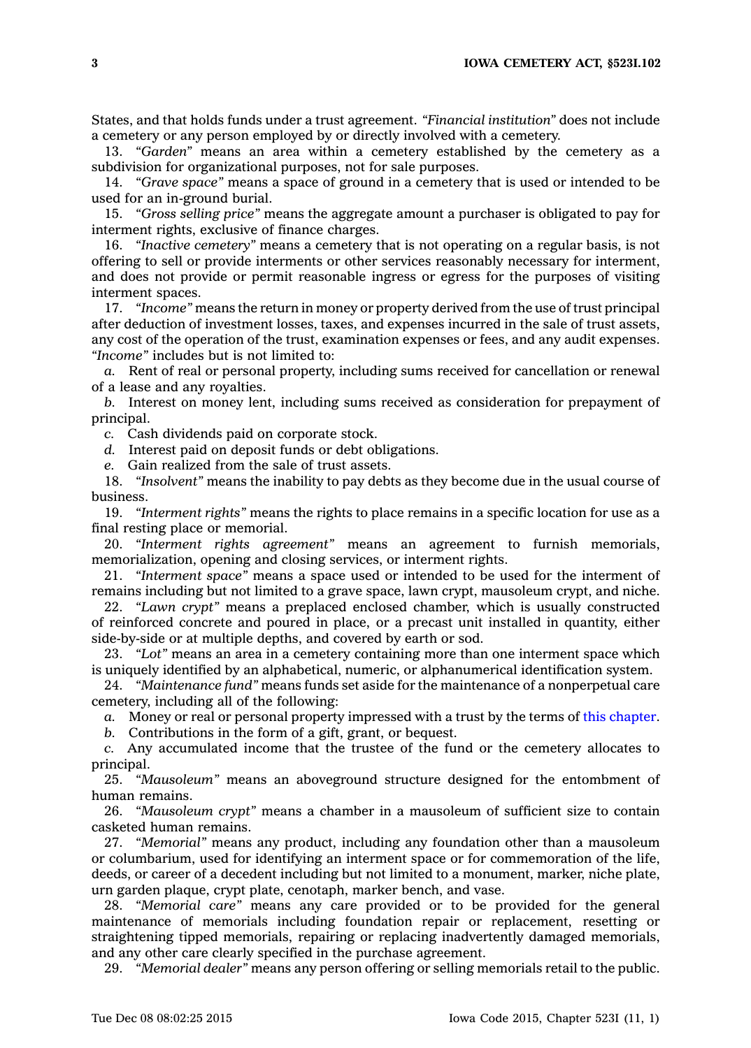States, and that holds funds under <sup>a</sup> trust agreement. *"Financial institution"* does not include <sup>a</sup> cemetery or any person employed by or directly involved with <sup>a</sup> cemetery.

13. *"Garden"* means an area within <sup>a</sup> cemetery established by the cemetery as <sup>a</sup> subdivision for organizational purposes, not for sale purposes.

14. *"Grave space"* means <sup>a</sup> space of ground in <sup>a</sup> cemetery that is used or intended to be used for an in-ground burial.

15. *"Gross selling price"* means the aggregate amount <sup>a</sup> purchaser is obligated to pay for interment rights, exclusive of finance charges.

16. *"Inactive cemetery"* means <sup>a</sup> cemetery that is not operating on <sup>a</sup> regular basis, is not offering to sell or provide interments or other services reasonably necessary for interment, and does not provide or permit reasonable ingress or egress for the purposes of visiting interment spaces.

17. *"Income"* means the return in money or property derived from the use of trust principal after deduction of investment losses, taxes, and expenses incurred in the sale of trust assets, any cost of the operation of the trust, examination expenses or fees, and any audit expenses. *"Income"* includes but is not limited to:

*a.* Rent of real or personal property, including sums received for cancellation or renewal of <sup>a</sup> lease and any royalties.

*b.* Interest on money lent, including sums received as consideration for prepayment of principal.

*c.* Cash dividends paid on corporate stock.

*d.* Interest paid on deposit funds or debt obligations.

*e.* Gain realized from the sale of trust assets.

18. *"Insolvent"* means the inability to pay debts as they become due in the usual course of business.

19. *"Interment rights"* means the rights to place remains in <sup>a</sup> specific location for use as <sup>a</sup> final resting place or memorial.

20. *"Interment rights agreement"* means an agreement to furnish memorials, memorialization, opening and closing services, or interment rights.

21. *"Interment space"* means <sup>a</sup> space used or intended to be used for the interment of remains including but not limited to <sup>a</sup> grave space, lawn crypt, mausoleum crypt, and niche.

22. *"Lawn crypt"* means <sup>a</sup> preplaced enclosed chamber, which is usually constructed of reinforced concrete and poured in place, or <sup>a</sup> precast unit installed in quantity, either side-by-side or at multiple depths, and covered by earth or sod.

23. *"Lot"* means an area in <sup>a</sup> cemetery containing more than one interment space which is uniquely identified by an alphabetical, numeric, or alphanumerical identification system.

24. *"Maintenance fund"* means funds set aside for the maintenance of <sup>a</sup> nonperpetual care cemetery, including all of the following:

*a.* Money or real or personal property impressed with <sup>a</sup> trust by the terms of this [chapter](https://www.legis.iowa.gov/docs/code//523I.pdf).

*b.* Contributions in the form of <sup>a</sup> gift, grant, or bequest.

*c.* Any accumulated income that the trustee of the fund or the cemetery allocates to principal.

25. *"Mausoleum"* means an aboveground structure designed for the entombment of human remains.

26. *"Mausoleum crypt"* means <sup>a</sup> chamber in <sup>a</sup> mausoleum of sufficient size to contain casketed human remains.

27. *"Memorial"* means any product, including any foundation other than <sup>a</sup> mausoleum or columbarium, used for identifying an interment space or for commemoration of the life, deeds, or career of <sup>a</sup> decedent including but not limited to <sup>a</sup> monument, marker, niche plate, urn garden plaque, crypt plate, cenotaph, marker bench, and vase.

28. *"Memorial care"* means any care provided or to be provided for the general maintenance of memorials including foundation repair or replacement, resetting or straightening tipped memorials, repairing or replacing inadvertently damaged memorials, and any other care clearly specified in the purchase agreement.

29. *"Memorial dealer"* means any person offering or selling memorials retail to the public.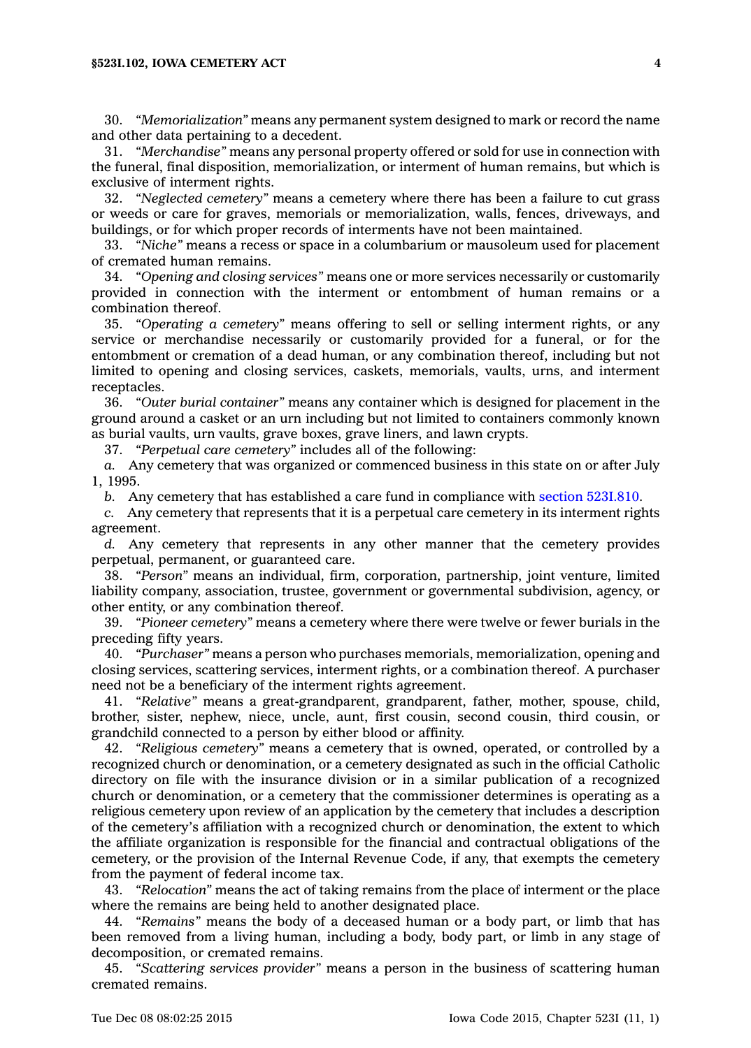30. *"Memorialization"* means any permanent system designed to mark or record the name and other data pertaining to <sup>a</sup> decedent.

31. *"Merchandise"* means any personal property offered or sold for use in connection with the funeral, final disposition, memorialization, or interment of human remains, but which is exclusive of interment rights.

32. *"Neglected cemetery"* means <sup>a</sup> cemetery where there has been <sup>a</sup> failure to cut grass or weeds or care for graves, memorials or memorialization, walls, fences, driveways, and buildings, or for which proper records of interments have not been maintained.

33. *"Niche"* means <sup>a</sup> recess or space in <sup>a</sup> columbarium or mausoleum used for placement of cremated human remains.

34. *"Opening and closing services"* means one or more services necessarily or customarily provided in connection with the interment or entombment of human remains or <sup>a</sup> combination thereof.

35. *"Operating <sup>a</sup> cemetery"* means offering to sell or selling interment rights, or any service or merchandise necessarily or customarily provided for <sup>a</sup> funeral, or for the entombment or cremation of <sup>a</sup> dead human, or any combination thereof, including but not limited to opening and closing services, caskets, memorials, vaults, urns, and interment receptacles.

36. *"Outer burial container"* means any container which is designed for placement in the ground around <sup>a</sup> casket or an urn including but not limited to containers commonly known as burial vaults, urn vaults, grave boxes, grave liners, and lawn crypts.

37. *"Perpetual care cemetery"* includes all of the following:

*a.* Any cemetery that was organized or commenced business in this state on or after July 1, 1995.

*b.* Any cemetery that has established <sup>a</sup> care fund in compliance with section [523I.810](https://www.legis.iowa.gov/docs/code//523I.810.pdf).

*c.* Any cemetery that represents that it is <sup>a</sup> perpetual care cemetery in its interment rights agreement.

*d.* Any cemetery that represents in any other manner that the cemetery provides perpetual, permanent, or guaranteed care.

38. *"Person"* means an individual, firm, corporation, partnership, joint venture, limited liability company, association, trustee, government or governmental subdivision, agency, or other entity, or any combination thereof.

39. *"Pioneer cemetery"* means <sup>a</sup> cemetery where there were twelve or fewer burials in the preceding fifty years.

40. *"Purchaser"* means <sup>a</sup> person who purchases memorials, memorialization, opening and closing services, scattering services, interment rights, or <sup>a</sup> combination thereof. A purchaser need not be <sup>a</sup> beneficiary of the interment rights agreement.

41. *"Relative"* means <sup>a</sup> great-grandparent, grandparent, father, mother, spouse, child, brother, sister, nephew, niece, uncle, aunt, first cousin, second cousin, third cousin, or grandchild connected to <sup>a</sup> person by either blood or affinity.

42. *"Religious cemetery"* means <sup>a</sup> cemetery that is owned, operated, or controlled by <sup>a</sup> recognized church or denomination, or <sup>a</sup> cemetery designated as such in the official Catholic directory on file with the insurance division or in <sup>a</sup> similar publication of <sup>a</sup> recognized church or denomination, or <sup>a</sup> cemetery that the commissioner determines is operating as <sup>a</sup> religious cemetery upon review of an application by the cemetery that includes <sup>a</sup> description of the cemetery's affiliation with <sup>a</sup> recognized church or denomination, the extent to which the affiliate organization is responsible for the financial and contractual obligations of the cemetery, or the provision of the Internal Revenue Code, if any, that exempts the cemetery from the payment of federal income tax.

43. *"Relocation"* means the act of taking remains from the place of interment or the place where the remains are being held to another designated place.

44. *"Remains"* means the body of <sup>a</sup> deceased human or <sup>a</sup> body part, or limb that has been removed from <sup>a</sup> living human, including <sup>a</sup> body, body part, or limb in any stage of decomposition, or cremated remains.

45. *"Scattering services provider"* means <sup>a</sup> person in the business of scattering human cremated remains.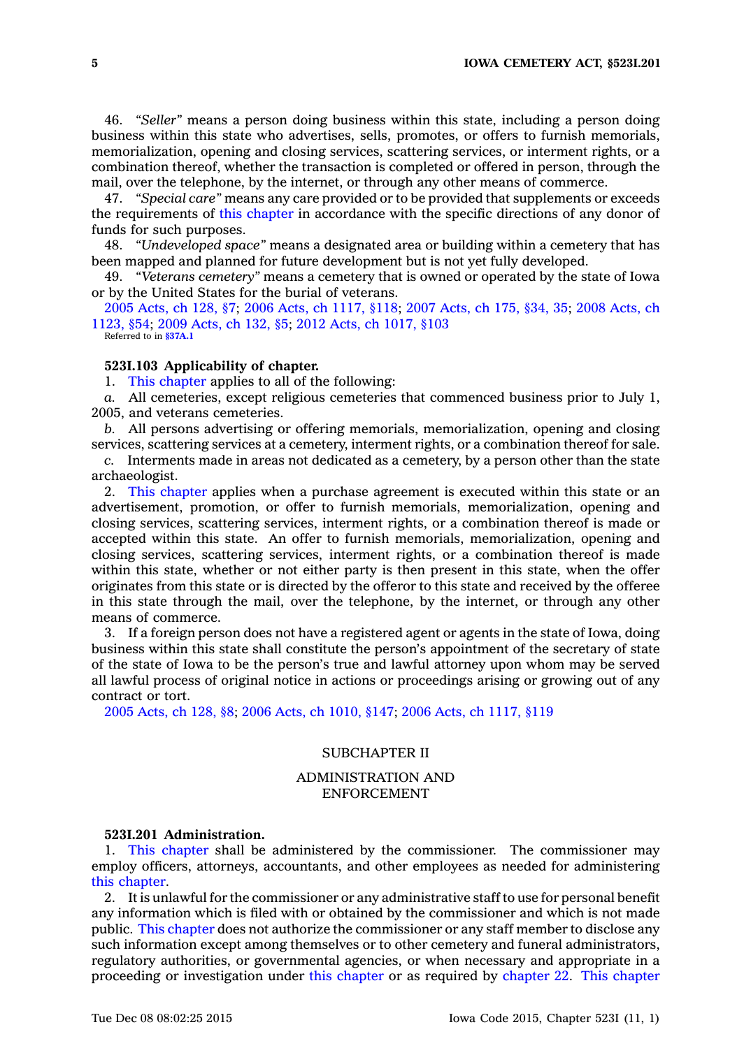46. *"Seller"* means <sup>a</sup> person doing business within this state, including <sup>a</sup> person doing business within this state who advertises, sells, promotes, or offers to furnish memorials, memorialization, opening and closing services, scattering services, or interment rights, or <sup>a</sup> combination thereof, whether the transaction is completed or offered in person, through the mail, over the telephone, by the internet, or through any other means of commerce.

47. *"Special care"* means any care provided or to be provided that supplements or exceeds the requirements of this [chapter](https://www.legis.iowa.gov/docs/code//523I.pdf) in accordance with the specific directions of any donor of funds for such purposes.

48. *"Undeveloped space"* means <sup>a</sup> designated area or building within <sup>a</sup> cemetery that has been mapped and planned for future development but is not yet fully developed.

49. *"Veterans cemetery"* means <sup>a</sup> cemetery that is owned or operated by the state of Iowa or by the United States for the burial of veterans.

2005 [Acts,](https://www.legis.iowa.gov/docs/acts/2005/CH0128.pdf) ch 128, §7; 2006 Acts, ch [1117,](https://www.legis.iowa.gov/docs/acts/2006/CH1117.pdf) §118; 2007 [Acts,](https://www.legis.iowa.gov/docs/acts/2007/CH0175.pdf) ch 175, §34, 35; 2008 [Acts,](https://www.legis.iowa.gov/docs/acts/2008/CH1123.pdf) ch [1123,](https://www.legis.iowa.gov/docs/acts/2008/CH1123.pdf) §54; 2009 [Acts,](https://www.legis.iowa.gov/docs/acts/2009/CH0132.pdf) ch 132, §5; 2012 Acts, ch [1017,](https://www.legis.iowa.gov/docs/acts/2012/CH1017.pdf) §103 Referred to in **[§37A.1](https://www.legis.iowa.gov/docs/code/37A.1.pdf)**

# **523I.103 Applicability of chapter.**

1. This [chapter](https://www.legis.iowa.gov/docs/code//523I.pdf) applies to all of the following:

*a.* All cemeteries, except religious cemeteries that commenced business prior to July 1, 2005, and veterans cemeteries.

*b.* All persons advertising or offering memorials, memorialization, opening and closing services, scattering services at <sup>a</sup> cemetery, interment rights, or <sup>a</sup> combination thereof for sale.

*c.* Interments made in areas not dedicated as <sup>a</sup> cemetery, by <sup>a</sup> person other than the state archaeologist.

2. This [chapter](https://www.legis.iowa.gov/docs/code//523I.pdf) applies when <sup>a</sup> purchase agreement is executed within this state or an advertisement, promotion, or offer to furnish memorials, memorialization, opening and closing services, scattering services, interment rights, or <sup>a</sup> combination thereof is made or accepted within this state. An offer to furnish memorials, memorialization, opening and closing services, scattering services, interment rights, or <sup>a</sup> combination thereof is made within this state, whether or not either party is then present in this state, when the offer originates from this state or is directed by the offeror to this state and received by the offeree in this state through the mail, over the telephone, by the internet, or through any other means of commerce.

3. If <sup>a</sup> foreign person does not have <sup>a</sup> registered agent or agents in the state of Iowa, doing business within this state shall constitute the person's appointment of the secretary of state of the state of Iowa to be the person's true and lawful attorney upon whom may be served all lawful process of original notice in actions or proceedings arising or growing out of any contract or tort.

2005 [Acts,](https://www.legis.iowa.gov/docs/acts/2005/CH0128.pdf) ch 128, §8; 2006 Acts, ch [1010,](https://www.legis.iowa.gov/docs/acts/2006/CH1010.pdf) §147; 2006 Acts, ch [1117,](https://www.legis.iowa.gov/docs/acts/2006/CH1117.pdf) §119

# SUBCHAPTER II

# ADMINISTRATION AND ENFORCEMENT

#### **523I.201 Administration.**

1. This [chapter](https://www.legis.iowa.gov/docs/code//523I.pdf) shall be administered by the commissioner. The commissioner may employ officers, attorneys, accountants, and other employees as needed for administering this [chapter](https://www.legis.iowa.gov/docs/code//523I.pdf).

2. It is unlawful for the commissioner or any administrative staff to use for personal benefit any information which is filed with or obtained by the commissioner and which is not made public. This [chapter](https://www.legis.iowa.gov/docs/code//523I.pdf) does not authorize the commissioner or any staff member to disclose any such information except among themselves or to other cemetery and funeral administrators, regulatory authorities, or governmental agencies, or when necessary and appropriate in <sup>a</sup> proceeding or investigation under this [chapter](https://www.legis.iowa.gov/docs/code//523I.pdf) or as required by [chapter](https://www.legis.iowa.gov/docs/code//22.pdf) 22. This [chapter](https://www.legis.iowa.gov/docs/code//523I.pdf)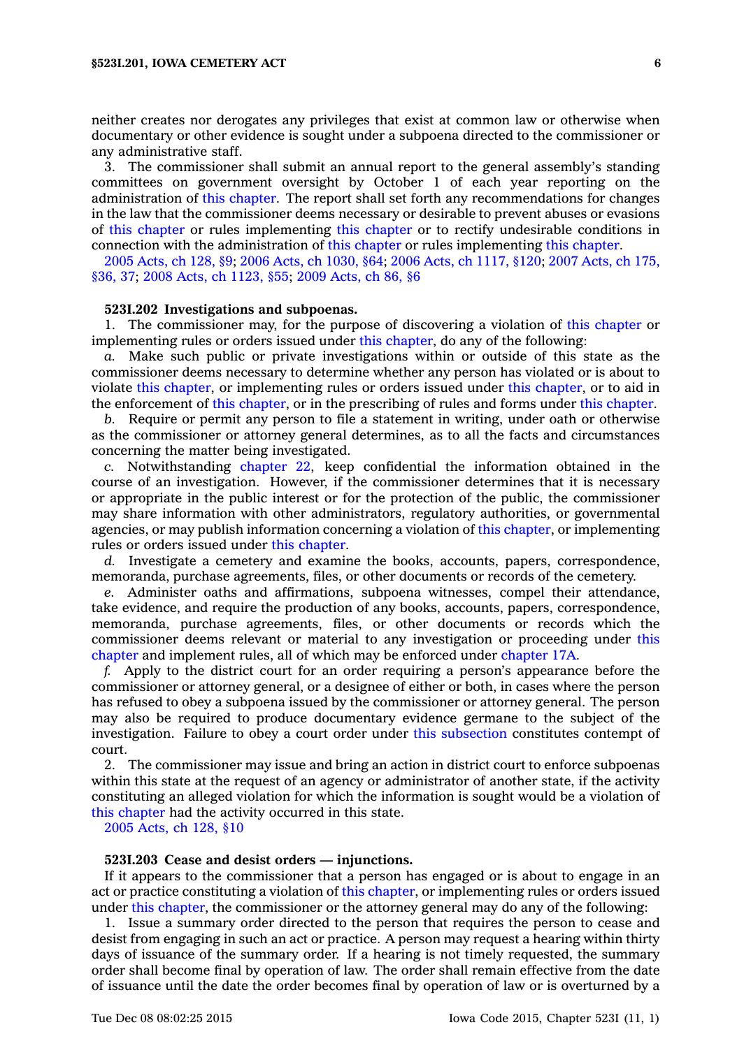neither creates nor derogates any privileges that exist at common law or otherwise when documentary or other evidence is sought under <sup>a</sup> subpoena directed to the commissioner or any administrative staff.

3. The commissioner shall submit an annual report to the general assembly's standing committees on government oversight by October 1 of each year reporting on the administration of this [chapter](https://www.legis.iowa.gov/docs/code//523I.pdf). The report shall set forth any recommendations for changes in the law that the commissioner deems necessary or desirable to prevent abuses or evasions of this [chapter](https://www.legis.iowa.gov/docs/code//523I.pdf) or rules implementing this [chapter](https://www.legis.iowa.gov/docs/code//523I.pdf) or to rectify undesirable conditions in connection with the administration of this [chapter](https://www.legis.iowa.gov/docs/code//523I.pdf) or rules implementing this [chapter](https://www.legis.iowa.gov/docs/code//523I.pdf).

2005 [Acts,](https://www.legis.iowa.gov/docs/acts/2005/CH0128.pdf) ch 128, §9; 2006 Acts, ch [1030,](https://www.legis.iowa.gov/docs/acts/2006/CH1030.pdf) §64; 2006 Acts, ch [1117,](https://www.legis.iowa.gov/docs/acts/2006/CH1117.pdf) §120; 2007 [Acts,](https://www.legis.iowa.gov/docs/acts/2007/CH0175.pdf) ch 175, [§36,](https://www.legis.iowa.gov/docs/acts/2007/CH0175.pdf) 37; 2008 Acts, ch [1123,](https://www.legis.iowa.gov/docs/acts/2008/CH1123.pdf) §55; 2009 [Acts,](https://www.legis.iowa.gov/docs/acts/2009/CH0086.pdf) ch 86, §6

#### **523I.202 Investigations and subpoenas.**

1. The commissioner may, for the purpose of discovering <sup>a</sup> violation of this [chapter](https://www.legis.iowa.gov/docs/code//523I.pdf) or implementing rules or orders issued under this [chapter](https://www.legis.iowa.gov/docs/code//523I.pdf), do any of the following:

*a.* Make such public or private investigations within or outside of this state as the commissioner deems necessary to determine whether any person has violated or is about to violate this [chapter](https://www.legis.iowa.gov/docs/code//523I.pdf), or implementing rules or orders issued under this [chapter](https://www.legis.iowa.gov/docs/code//523I.pdf), or to aid in the enforcement of this [chapter](https://www.legis.iowa.gov/docs/code//523I.pdf), or in the prescribing of rules and forms under this [chapter](https://www.legis.iowa.gov/docs/code//523I.pdf).

*b.* Require or permit any person to file <sup>a</sup> statement in writing, under oath or otherwise as the commissioner or attorney general determines, as to all the facts and circumstances concerning the matter being investigated.

*c.* Notwithstanding [chapter](https://www.legis.iowa.gov/docs/code//22.pdf) 22, keep confidential the information obtained in the course of an investigation. However, if the commissioner determines that it is necessary or appropriate in the public interest or for the protection of the public, the commissioner may share information with other administrators, regulatory authorities, or governmental agencies, or may publish information concerning <sup>a</sup> violation of this [chapter](https://www.legis.iowa.gov/docs/code//523I.pdf), or implementing rules or orders issued under this [chapter](https://www.legis.iowa.gov/docs/code//523I.pdf).

*d.* Investigate <sup>a</sup> cemetery and examine the books, accounts, papers, correspondence, memoranda, purchase agreements, files, or other documents or records of the cemetery.

*e.* Administer oaths and affirmations, subpoena witnesses, compel their attendance, take evidence, and require the production of any books, accounts, papers, correspondence, memoranda, purchase agreements, files, or other documents or records which the commissioner deems relevant or material to any investigation or proceeding under [this](https://www.legis.iowa.gov/docs/code//523I.pdf) [chapter](https://www.legis.iowa.gov/docs/code//523I.pdf) and implement rules, all of which may be enforced under [chapter](https://www.legis.iowa.gov/docs/code//17A.pdf) 17A.

*f.* Apply to the district court for an order requiring <sup>a</sup> person's appearance before the commissioner or attorney general, or <sup>a</sup> designee of either or both, in cases where the person has refused to obey <sup>a</sup> subpoena issued by the commissioner or attorney general. The person may also be required to produce documentary evidence germane to the subject of the investigation. Failure to obey <sup>a</sup> court order under this [subsection](https://www.legis.iowa.gov/docs/code//523I.202.pdf) constitutes contempt of court.

2. The commissioner may issue and bring an action in district court to enforce subpoenas within this state at the request of an agency or administrator of another state, if the activity constituting an alleged violation for which the information is sought would be <sup>a</sup> violation of this [chapter](https://www.legis.iowa.gov/docs/code//523I.pdf) had the activity occurred in this state.

2005 [Acts,](https://www.legis.iowa.gov/docs/acts/2005/CH0128.pdf) ch 128, §10

# **523I.203 Cease and desist orders — injunctions.**

If it appears to the commissioner that <sup>a</sup> person has engaged or is about to engage in an act or practice constituting <sup>a</sup> violation of this [chapter](https://www.legis.iowa.gov/docs/code//523I.pdf), or implementing rules or orders issued under this [chapter](https://www.legis.iowa.gov/docs/code//523I.pdf), the commissioner or the attorney general may do any of the following:

1. Issue <sup>a</sup> summary order directed to the person that requires the person to cease and desist from engaging in such an act or practice. A person may request <sup>a</sup> hearing within thirty days of issuance of the summary order. If <sup>a</sup> hearing is not timely requested, the summary order shall become final by operation of law. The order shall remain effective from the date of issuance until the date the order becomes final by operation of law or is overturned by <sup>a</sup>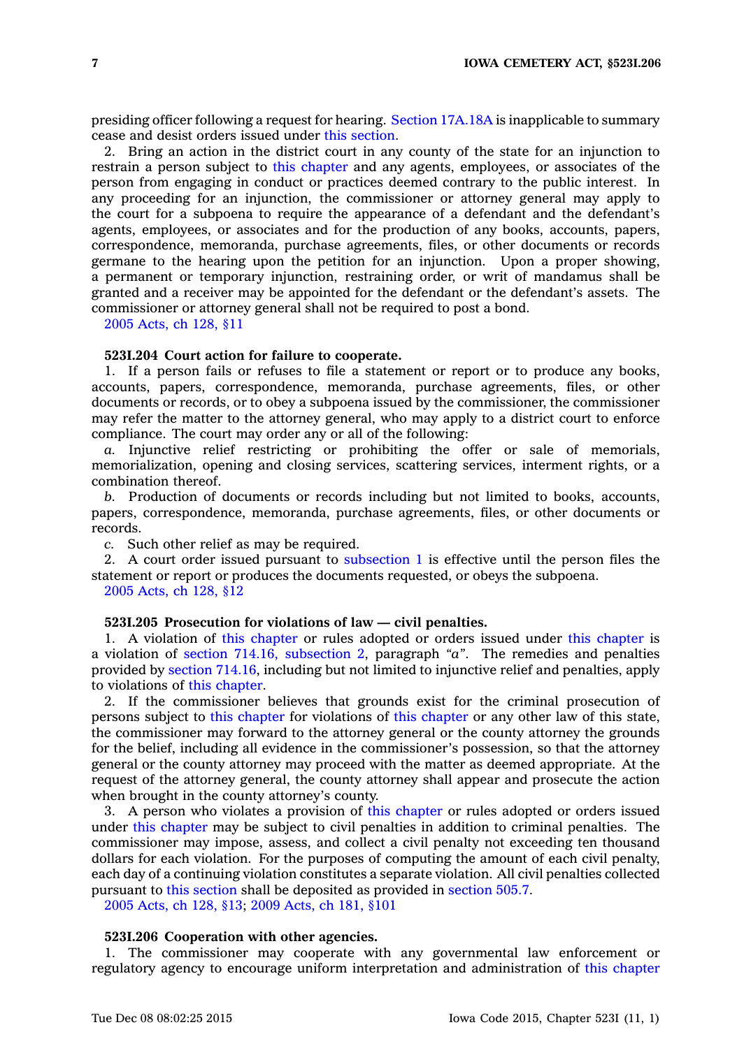presiding officer following <sup>a</sup> request for hearing. Section [17A.18A](https://www.legis.iowa.gov/docs/code//17A.18A.pdf) is inapplicable to summary cease and desist orders issued under this [section](https://www.legis.iowa.gov/docs/code//523I.203.pdf).

2. Bring an action in the district court in any county of the state for an injunction to restrain <sup>a</sup> person subject to this [chapter](https://www.legis.iowa.gov/docs/code//523I.pdf) and any agents, employees, or associates of the person from engaging in conduct or practices deemed contrary to the public interest. In any proceeding for an injunction, the commissioner or attorney general may apply to the court for <sup>a</sup> subpoena to require the appearance of <sup>a</sup> defendant and the defendant's agents, employees, or associates and for the production of any books, accounts, papers, correspondence, memoranda, purchase agreements, files, or other documents or records germane to the hearing upon the petition for an injunction. Upon <sup>a</sup> proper showing, <sup>a</sup> permanent or temporary injunction, restraining order, or writ of mandamus shall be granted and <sup>a</sup> receiver may be appointed for the defendant or the defendant's assets. The commissioner or attorney general shall not be required to post <sup>a</sup> bond.

2005 [Acts,](https://www.legis.iowa.gov/docs/acts/2005/CH0128.pdf) ch 128, §11

#### **523I.204 Court action for failure to cooperate.**

1. If <sup>a</sup> person fails or refuses to file <sup>a</sup> statement or report or to produce any books, accounts, papers, correspondence, memoranda, purchase agreements, files, or other documents or records, or to obey <sup>a</sup> subpoena issued by the commissioner, the commissioner may refer the matter to the attorney general, who may apply to <sup>a</sup> district court to enforce compliance. The court may order any or all of the following:

*a.* Injunctive relief restricting or prohibiting the offer or sale of memorials, memorialization, opening and closing services, scattering services, interment rights, or <sup>a</sup> combination thereof.

*b.* Production of documents or records including but not limited to books, accounts, papers, correspondence, memoranda, purchase agreements, files, or other documents or records.

*c.* Such other relief as may be required.

2. A court order issued pursuant to [subsection](https://www.legis.iowa.gov/docs/code//523I.204.pdf) 1 is effective until the person files the statement or report or produces the documents requested, or obeys the subpoena.

2005 [Acts,](https://www.legis.iowa.gov/docs/acts/2005/CH0128.pdf) ch 128, §12

# **523I.205 Prosecution for violations of law — civil penalties.**

1. A violation of this [chapter](https://www.legis.iowa.gov/docs/code//523I.pdf) or rules adopted or orders issued under this [chapter](https://www.legis.iowa.gov/docs/code//523I.pdf) is <sup>a</sup> violation of section 714.16, [subsection](https://www.legis.iowa.gov/docs/code//714.16.pdf) 2, paragraph *"a"*. The remedies and penalties provided by section [714.16](https://www.legis.iowa.gov/docs/code//714.16.pdf), including but not limited to injunctive relief and penalties, apply to violations of this [chapter](https://www.legis.iowa.gov/docs/code//523I.pdf).

2. If the commissioner believes that grounds exist for the criminal prosecution of persons subject to this [chapter](https://www.legis.iowa.gov/docs/code//523I.pdf) for violations of this [chapter](https://www.legis.iowa.gov/docs/code//523I.pdf) or any other law of this state, the commissioner may forward to the attorney general or the county attorney the grounds for the belief, including all evidence in the commissioner's possession, so that the attorney general or the county attorney may proceed with the matter as deemed appropriate. At the request of the attorney general, the county attorney shall appear and prosecute the action when brought in the county attorney's county.

3. A person who violates <sup>a</sup> provision of this [chapter](https://www.legis.iowa.gov/docs/code//523I.pdf) or rules adopted or orders issued under this [chapter](https://www.legis.iowa.gov/docs/code//523I.pdf) may be subject to civil penalties in addition to criminal penalties. The commissioner may impose, assess, and collect <sup>a</sup> civil penalty not exceeding ten thousand dollars for each violation. For the purposes of computing the amount of each civil penalty, each day of <sup>a</sup> continuing violation constitutes <sup>a</sup> separate violation. All civil penalties collected pursuant to this [section](https://www.legis.iowa.gov/docs/code//523I.205.pdf) shall be deposited as provided in [section](https://www.legis.iowa.gov/docs/code//505.7.pdf) 505.7.

2005 [Acts,](https://www.legis.iowa.gov/docs/acts/2005/CH0128.pdf) ch 128, §13; 2009 [Acts,](https://www.legis.iowa.gov/docs/acts/2009/CH0181.pdf) ch 181, §101

#### **523I.206 Cooperation with other agencies.**

1. The commissioner may cooperate with any governmental law enforcement or regulatory agency to encourage uniform interpretation and administration of this [chapter](https://www.legis.iowa.gov/docs/code//523I.pdf)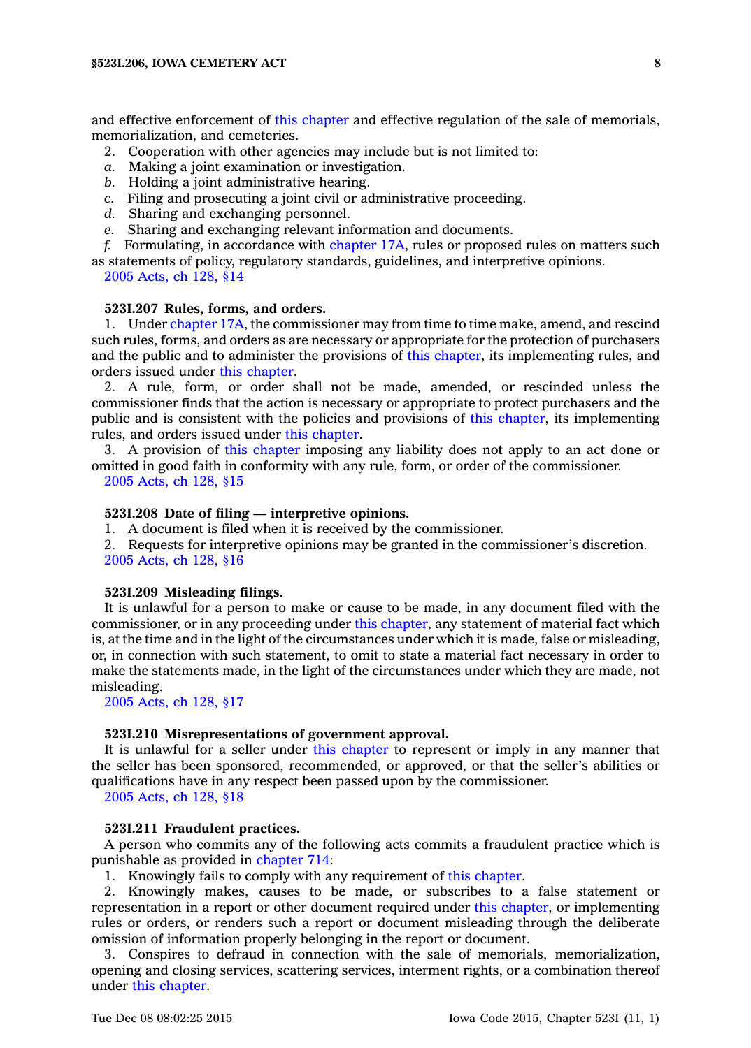and effective enforcement of this [chapter](https://www.legis.iowa.gov/docs/code//523I.pdf) and effective regulation of the sale of memorials, memorialization, and cemeteries.

- 2. Cooperation with other agencies may include but is not limited to:
- *a.* Making <sup>a</sup> joint examination or investigation.
- *b.* Holding <sup>a</sup> joint administrative hearing.
- *c.* Filing and prosecuting <sup>a</sup> joint civil or administrative proceeding.
- *d.* Sharing and exchanging personnel.
- *e.* Sharing and exchanging relevant information and documents.
- *f.* Formulating, in accordance with [chapter](https://www.legis.iowa.gov/docs/code//17A.pdf) 17A, rules or proposed rules on matters such as statements of policy, regulatory standards, guidelines, and interpretive opinions.
	- 2005 [Acts,](https://www.legis.iowa.gov/docs/acts/2005/CH0128.pdf) ch 128, §14

#### **523I.207 Rules, forms, and orders.**

1. Under [chapter](https://www.legis.iowa.gov/docs/code//17A.pdf) 17A, the commissioner may from time to time make, amend, and rescind such rules, forms, and orders as are necessary or appropriate for the protection of purchasers and the public and to administer the provisions of this [chapter](https://www.legis.iowa.gov/docs/code//523I.pdf), its implementing rules, and orders issued under this [chapter](https://www.legis.iowa.gov/docs/code//523I.pdf).

2. A rule, form, or order shall not be made, amended, or rescinded unless the commissioner finds that the action is necessary or appropriate to protect purchasers and the public and is consistent with the policies and provisions of this [chapter](https://www.legis.iowa.gov/docs/code//523I.pdf), its implementing rules, and orders issued under this [chapter](https://www.legis.iowa.gov/docs/code//523I.pdf).

3. A provision of this [chapter](https://www.legis.iowa.gov/docs/code//523I.pdf) imposing any liability does not apply to an act done or omitted in good faith in conformity with any rule, form, or order of the commissioner. 2005 [Acts,](https://www.legis.iowa.gov/docs/acts/2005/CH0128.pdf) ch 128, §15

# **523I.208 Date of filing — interpretive opinions.**

1. A document is filed when it is received by the commissioner.

2. Requests for interpretive opinions may be granted in the commissioner's discretion. 2005 [Acts,](https://www.legis.iowa.gov/docs/acts/2005/CH0128.pdf) ch 128, §16

# **523I.209 Misleading filings.**

It is unlawful for <sup>a</sup> person to make or cause to be made, in any document filed with the commissioner, or in any proceeding under this [chapter](https://www.legis.iowa.gov/docs/code//523I.pdf), any statement of material fact which is, at the time and in the light of the circumstances under which it is made, false or misleading, or, in connection with such statement, to omit to state <sup>a</sup> material fact necessary in order to make the statements made, in the light of the circumstances under which they are made, not misleading.

2005 [Acts,](https://www.legis.iowa.gov/docs/acts/2005/CH0128.pdf) ch 128, §17

### **523I.210 Misrepresentations of government approval.**

It is unlawful for <sup>a</sup> seller under this [chapter](https://www.legis.iowa.gov/docs/code//523I.pdf) to represent or imply in any manner that the seller has been sponsored, recommended, or approved, or that the seller's abilities or qualifications have in any respect been passed upon by the commissioner.

2005 [Acts,](https://www.legis.iowa.gov/docs/acts/2005/CH0128.pdf) ch 128, §18

# **523I.211 Fraudulent practices.**

A person who commits any of the following acts commits <sup>a</sup> fraudulent practice which is punishable as provided in [chapter](https://www.legis.iowa.gov/docs/code//714.pdf) 714:

1. Knowingly fails to comply with any requirement of this [chapter](https://www.legis.iowa.gov/docs/code//523I.pdf).

2. Knowingly makes, causes to be made, or subscribes to <sup>a</sup> false statement or representation in <sup>a</sup> report or other document required under this [chapter](https://www.legis.iowa.gov/docs/code//523I.pdf), or implementing rules or orders, or renders such <sup>a</sup> report or document misleading through the deliberate omission of information properly belonging in the report or document.

3. Conspires to defraud in connection with the sale of memorials, memorialization, opening and closing services, scattering services, interment rights, or <sup>a</sup> combination thereof under this [chapter](https://www.legis.iowa.gov/docs/code//523I.pdf).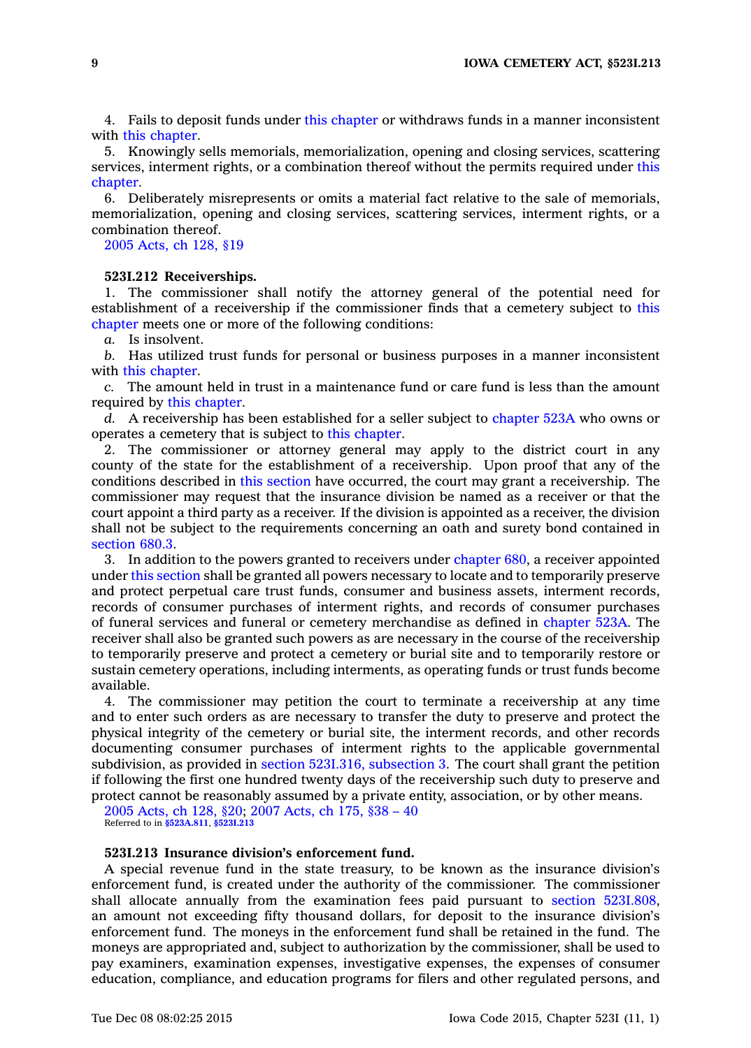4. Fails to deposit funds under this [chapter](https://www.legis.iowa.gov/docs/code//523I.pdf) or withdraws funds in <sup>a</sup> manner inconsistent with this [chapter](https://www.legis.iowa.gov/docs/code//523I.pdf).

5. Knowingly sells memorials, memorialization, opening and closing services, scattering services, interment rights, or <sup>a</sup> combination thereof without the permits required under [this](https://www.legis.iowa.gov/docs/code//523I.pdf) [chapter](https://www.legis.iowa.gov/docs/code//523I.pdf).

6. Deliberately misrepresents or omits <sup>a</sup> material fact relative to the sale of memorials, memorialization, opening and closing services, scattering services, interment rights, or <sup>a</sup> combination thereof.

2005 [Acts,](https://www.legis.iowa.gov/docs/acts/2005/CH0128.pdf) ch 128, §19

#### **523I.212 Receiverships.**

1. The commissioner shall notify the attorney general of the potential need for establishment of <sup>a</sup> receivership if the commissioner finds that <sup>a</sup> cemetery subject to [this](https://www.legis.iowa.gov/docs/code//523I.pdf) [chapter](https://www.legis.iowa.gov/docs/code//523I.pdf) meets one or more of the following conditions:

*a.* Is insolvent.

*b.* Has utilized trust funds for personal or business purposes in <sup>a</sup> manner inconsistent with this [chapter](https://www.legis.iowa.gov/docs/code//523I.pdf).

*c.* The amount held in trust in <sup>a</sup> maintenance fund or care fund is less than the amount required by this [chapter](https://www.legis.iowa.gov/docs/code//523I.pdf).

*d.* A receivership has been established for <sup>a</sup> seller subject to [chapter](https://www.legis.iowa.gov/docs/code//523A.pdf) 523A who owns or operates <sup>a</sup> cemetery that is subject to this [chapter](https://www.legis.iowa.gov/docs/code//523I.pdf).

2. The commissioner or attorney general may apply to the district court in any county of the state for the establishment of <sup>a</sup> receivership. Upon proof that any of the conditions described in this [section](https://www.legis.iowa.gov/docs/code//523I.212.pdf) have occurred, the court may grant <sup>a</sup> receivership. The commissioner may request that the insurance division be named as <sup>a</sup> receiver or that the court appoint <sup>a</sup> third party as <sup>a</sup> receiver. If the division is appointed as <sup>a</sup> receiver, the division shall not be subject to the requirements concerning an oath and surety bond contained in [section](https://www.legis.iowa.gov/docs/code//680.3.pdf) 680.3.

3. In addition to the powers granted to receivers under [chapter](https://www.legis.iowa.gov/docs/code//680.pdf) 680, <sup>a</sup> receiver appointed under this [section](https://www.legis.iowa.gov/docs/code//523I.212.pdf) shall be granted all powers necessary to locate and to temporarily preserve and protect perpetual care trust funds, consumer and business assets, interment records, records of consumer purchases of interment rights, and records of consumer purchases of funeral services and funeral or cemetery merchandise as defined in [chapter](https://www.legis.iowa.gov/docs/code//523A.pdf) 523A. The receiver shall also be granted such powers as are necessary in the course of the receivership to temporarily preserve and protect <sup>a</sup> cemetery or burial site and to temporarily restore or sustain cemetery operations, including interments, as operating funds or trust funds become available.

4. The commissioner may petition the court to terminate <sup>a</sup> receivership at any time and to enter such orders as are necessary to transfer the duty to preserve and protect the physical integrity of the cemetery or burial site, the interment records, and other records documenting consumer purchases of interment rights to the applicable governmental subdivision, as provided in section 523I.316, [subsection](https://www.legis.iowa.gov/docs/code//523I.316.pdf) 3. The court shall grant the petition if following the first one hundred twenty days of the receivership such duty to preserve and protect cannot be reasonably assumed by <sup>a</sup> private entity, association, or by other means.

2005 [Acts,](https://www.legis.iowa.gov/docs/acts/2005/CH0128.pdf) ch 128, §20; 2007 [Acts,](https://www.legis.iowa.gov/docs/acts/2007/CH0175.pdf) ch 175, §38 – 40 Referred to in **[§523A.811](https://www.legis.iowa.gov/docs/code/523A.811.pdf)**, **[§523I.213](https://www.legis.iowa.gov/docs/code/523I.213.pdf)**

### **523I.213 Insurance division's enforcement fund.**

A special revenue fund in the state treasury, to be known as the insurance division's enforcement fund, is created under the authority of the commissioner. The commissioner shall allocate annually from the examination fees paid pursuant to section [523I.808](https://www.legis.iowa.gov/docs/code//523I.808.pdf), an amount not exceeding fifty thousand dollars, for deposit to the insurance division's enforcement fund. The moneys in the enforcement fund shall be retained in the fund. The moneys are appropriated and, subject to authorization by the commissioner, shall be used to pay examiners, examination expenses, investigative expenses, the expenses of consumer education, compliance, and education programs for filers and other regulated persons, and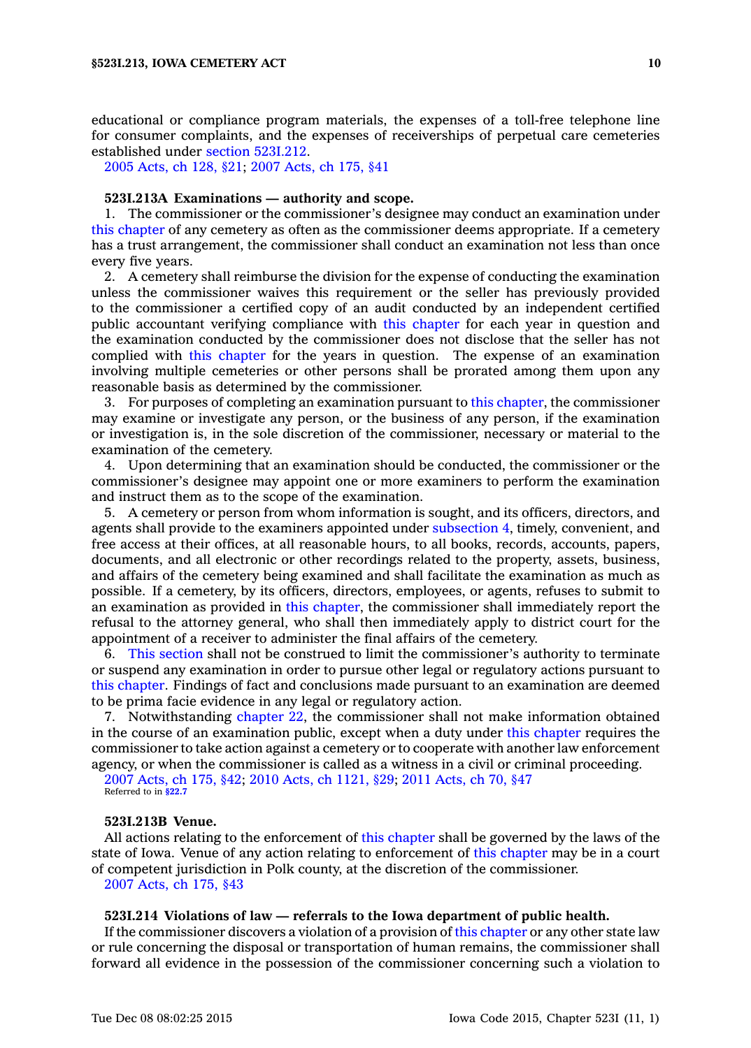educational or compliance program materials, the expenses of <sup>a</sup> toll-free telephone line for consumer complaints, and the expenses of receiverships of perpetual care cemeteries established under section [523I.212](https://www.legis.iowa.gov/docs/code//523I.212.pdf).

2005 [Acts,](https://www.legis.iowa.gov/docs/acts/2005/CH0128.pdf) ch 128, §21; 2007 [Acts,](https://www.legis.iowa.gov/docs/acts/2007/CH0175.pdf) ch 175, §41

### **523I.213A Examinations — authority and scope.**

1. The commissioner or the commissioner's designee may conduct an examination under this [chapter](https://www.legis.iowa.gov/docs/code//523I.pdf) of any cemetery as often as the commissioner deems appropriate. If <sup>a</sup> cemetery has <sup>a</sup> trust arrangement, the commissioner shall conduct an examination not less than once every five years.

2. A cemetery shall reimburse the division for the expense of conducting the examination unless the commissioner waives this requirement or the seller has previously provided to the commissioner <sup>a</sup> certified copy of an audit conducted by an independent certified public accountant verifying compliance with this [chapter](https://www.legis.iowa.gov/docs/code//523I.pdf) for each year in question and the examination conducted by the commissioner does not disclose that the seller has not complied with this [chapter](https://www.legis.iowa.gov/docs/code//523I.pdf) for the years in question. The expense of an examination involving multiple cemeteries or other persons shall be prorated among them upon any reasonable basis as determined by the commissioner.

3. For purposes of completing an examination pursuant to this [chapter](https://www.legis.iowa.gov/docs/code//523I.pdf), the commissioner may examine or investigate any person, or the business of any person, if the examination or investigation is, in the sole discretion of the commissioner, necessary or material to the examination of the cemetery.

4. Upon determining that an examination should be conducted, the commissioner or the commissioner's designee may appoint one or more examiners to perform the examination and instruct them as to the scope of the examination.

5. A cemetery or person from whom information is sought, and its officers, directors, and agents shall provide to the examiners appointed under [subsection](https://www.legis.iowa.gov/docs/code//523I.213A.pdf) 4, timely, convenient, and free access at their offices, at all reasonable hours, to all books, records, accounts, papers, documents, and all electronic or other recordings related to the property, assets, business, and affairs of the cemetery being examined and shall facilitate the examination as much as possible. If <sup>a</sup> cemetery, by its officers, directors, employees, or agents, refuses to submit to an examination as provided in this [chapter](https://www.legis.iowa.gov/docs/code//523I.pdf), the commissioner shall immediately report the refusal to the attorney general, who shall then immediately apply to district court for the appointment of <sup>a</sup> receiver to administer the final affairs of the cemetery.

6. This [section](https://www.legis.iowa.gov/docs/code//523I.213A.pdf) shall not be construed to limit the commissioner's authority to terminate or suspend any examination in order to pursue other legal or regulatory actions pursuant to this [chapter](https://www.legis.iowa.gov/docs/code//523I.pdf). Findings of fact and conclusions made pursuant to an examination are deemed to be prima facie evidence in any legal or regulatory action.

7. Notwithstanding [chapter](https://www.legis.iowa.gov/docs/code//22.pdf) 22, the commissioner shall not make information obtained in the course of an examination public, except when <sup>a</sup> duty under this [chapter](https://www.legis.iowa.gov/docs/code//523I.pdf) requires the commissioner to take action against <sup>a</sup> cemetery or to cooperate with another law enforcement agency, or when the commissioner is called as <sup>a</sup> witness in <sup>a</sup> civil or criminal proceeding.

2007 [Acts,](https://www.legis.iowa.gov/docs/acts/2007/CH0175.pdf) ch 175, §42; 2010 Acts, ch [1121,](https://www.legis.iowa.gov/docs/acts/2010/CH1121.pdf) §29; 2011 [Acts,](https://www.legis.iowa.gov/docs/acts/2011/CH0070.pdf) ch 70, §47

Referred to in **[§22.7](https://www.legis.iowa.gov/docs/code/22.7.pdf)**

### **523I.213B Venue.**

All actions relating to the enforcement of this [chapter](https://www.legis.iowa.gov/docs/code//523I.pdf) shall be governed by the laws of the state of Iowa. Venue of any action relating to enforcement of this [chapter](https://www.legis.iowa.gov/docs/code//523I.pdf) may be in <sup>a</sup> court of competent jurisdiction in Polk county, at the discretion of the commissioner. 2007 [Acts,](https://www.legis.iowa.gov/docs/acts/2007/CH0175.pdf) ch 175, §43

### **523I.214 Violations of law — referrals to the Iowa department of public health.**

If the commissioner discovers <sup>a</sup> violation of <sup>a</sup> provision of this [chapter](https://www.legis.iowa.gov/docs/code//523I.pdf) or any other state law or rule concerning the disposal or transportation of human remains, the commissioner shall forward all evidence in the possession of the commissioner concerning such <sup>a</sup> violation to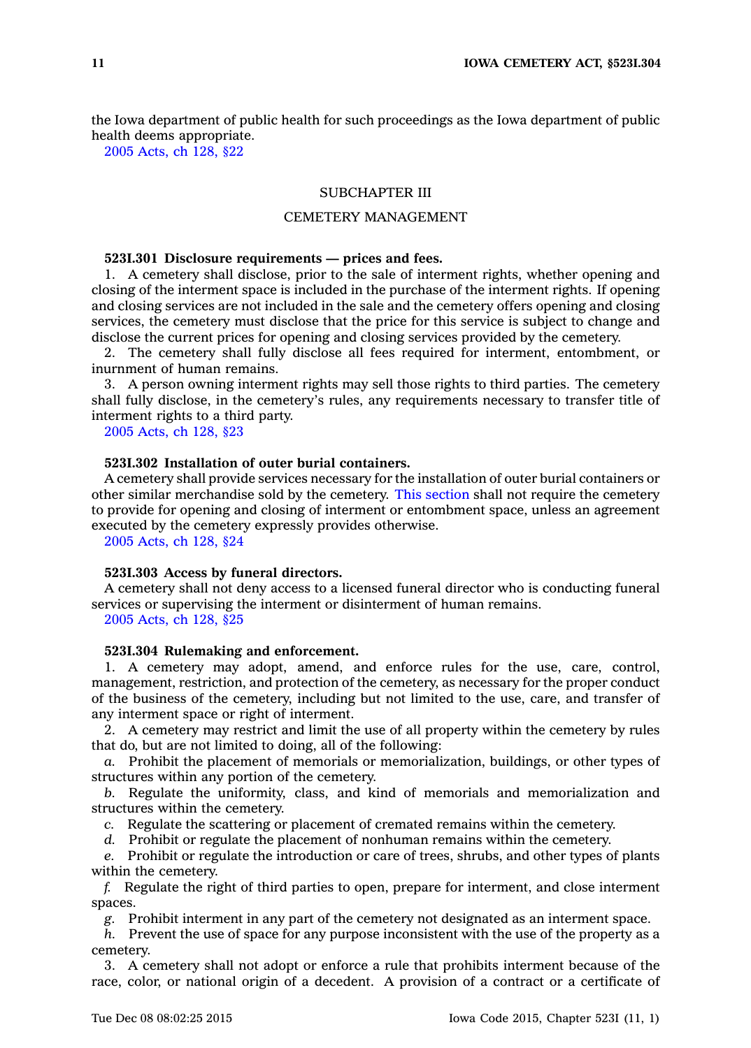the Iowa department of public health for such proceedings as the Iowa department of public health deems appropriate.

2005 [Acts,](https://www.legis.iowa.gov/docs/acts/2005/CH0128.pdf) ch 128, §22

# SUBCHAPTER III

# CEMETERY MANAGEMENT

### **523I.301 Disclosure requirements — prices and fees.**

1. A cemetery shall disclose, prior to the sale of interment rights, whether opening and closing of the interment space is included in the purchase of the interment rights. If opening and closing services are not included in the sale and the cemetery offers opening and closing services, the cemetery must disclose that the price for this service is subject to change and disclose the current prices for opening and closing services provided by the cemetery.

2. The cemetery shall fully disclose all fees required for interment, entombment, or inurnment of human remains.

3. A person owning interment rights may sell those rights to third parties. The cemetery shall fully disclose, in the cemetery's rules, any requirements necessary to transfer title of interment rights to <sup>a</sup> third party.

2005 [Acts,](https://www.legis.iowa.gov/docs/acts/2005/CH0128.pdf) ch 128, §23

# **523I.302 Installation of outer burial containers.**

A cemetery shall provide services necessary for the installation of outer burial containers or other similar merchandise sold by the cemetery. This [section](https://www.legis.iowa.gov/docs/code//523I.302.pdf) shall not require the cemetery to provide for opening and closing of interment or entombment space, unless an agreement executed by the cemetery expressly provides otherwise.

2005 [Acts,](https://www.legis.iowa.gov/docs/acts/2005/CH0128.pdf) ch 128, §24

#### **523I.303 Access by funeral directors.**

A cemetery shall not deny access to <sup>a</sup> licensed funeral director who is conducting funeral services or supervising the interment or disinterment of human remains.

2005 [Acts,](https://www.legis.iowa.gov/docs/acts/2005/CH0128.pdf) ch 128, §25

# **523I.304 Rulemaking and enforcement.**

1. A cemetery may adopt, amend, and enforce rules for the use, care, control, management, restriction, and protection of the cemetery, as necessary for the proper conduct of the business of the cemetery, including but not limited to the use, care, and transfer of any interment space or right of interment.

2. A cemetery may restrict and limit the use of all property within the cemetery by rules that do, but are not limited to doing, all of the following:

*a.* Prohibit the placement of memorials or memorialization, buildings, or other types of structures within any portion of the cemetery.

*b.* Regulate the uniformity, class, and kind of memorials and memorialization and structures within the cemetery.

*c.* Regulate the scattering or placement of cremated remains within the cemetery.

*d.* Prohibit or regulate the placement of nonhuman remains within the cemetery.

*e.* Prohibit or regulate the introduction or care of trees, shrubs, and other types of plants within the cemetery.

*f.* Regulate the right of third parties to open, prepare for interment, and close interment spaces.

*g.* Prohibit interment in any part of the cemetery not designated as an interment space.

*h.* Prevent the use of space for any purpose inconsistent with the use of the property as <sup>a</sup> cemetery.

3. A cemetery shall not adopt or enforce <sup>a</sup> rule that prohibits interment because of the race, color, or national origin of <sup>a</sup> decedent. A provision of <sup>a</sup> contract or <sup>a</sup> certificate of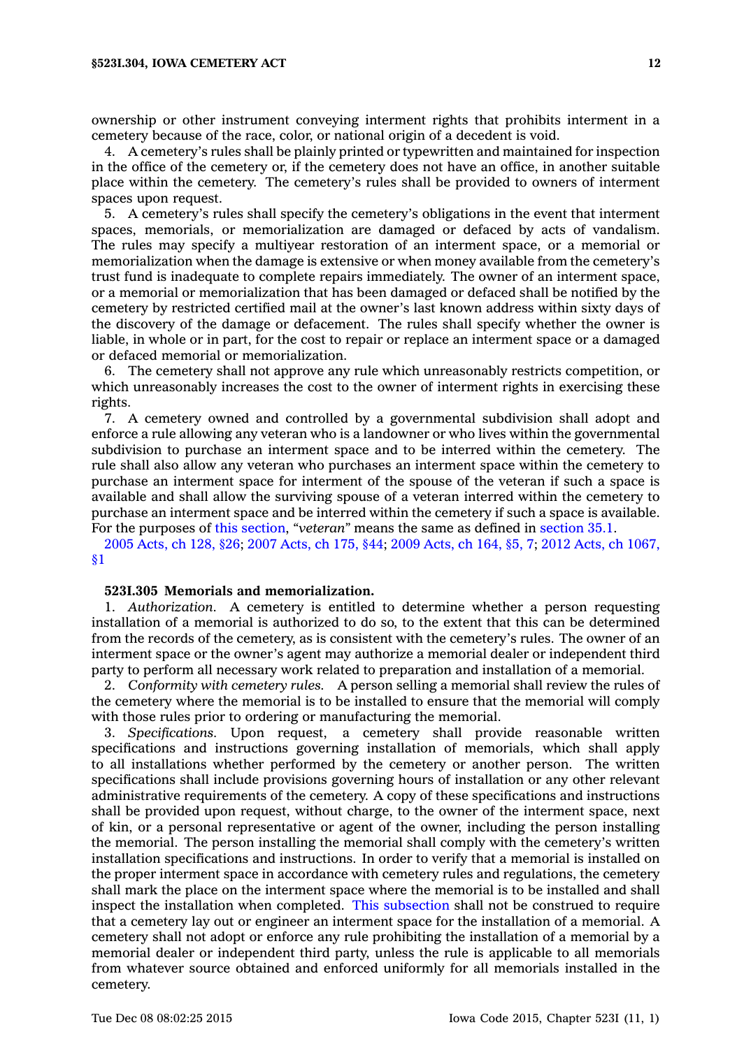ownership or other instrument conveying interment rights that prohibits interment in <sup>a</sup> cemetery because of the race, color, or national origin of <sup>a</sup> decedent is void.

4. A cemetery's rules shall be plainly printed or typewritten and maintained for inspection in the office of the cemetery or, if the cemetery does not have an office, in another suitable place within the cemetery. The cemetery's rules shall be provided to owners of interment spaces upon request.

5. A cemetery's rules shall specify the cemetery's obligations in the event that interment spaces, memorials, or memorialization are damaged or defaced by acts of vandalism. The rules may specify <sup>a</sup> multiyear restoration of an interment space, or <sup>a</sup> memorial or memorialization when the damage is extensive or when money available from the cemetery's trust fund is inadequate to complete repairs immediately. The owner of an interment space, or <sup>a</sup> memorial or memorialization that has been damaged or defaced shall be notified by the cemetery by restricted certified mail at the owner's last known address within sixty days of the discovery of the damage or defacement. The rules shall specify whether the owner is liable, in whole or in part, for the cost to repair or replace an interment space or <sup>a</sup> damaged or defaced memorial or memorialization.

6. The cemetery shall not approve any rule which unreasonably restricts competition, or which unreasonably increases the cost to the owner of interment rights in exercising these rights.

7. A cemetery owned and controlled by <sup>a</sup> governmental subdivision shall adopt and enforce <sup>a</sup> rule allowing any veteran who is <sup>a</sup> landowner or who lives within the governmental subdivision to purchase an interment space and to be interred within the cemetery. The rule shall also allow any veteran who purchases an interment space within the cemetery to purchase an interment space for interment of the spouse of the veteran if such <sup>a</sup> space is available and shall allow the surviving spouse of <sup>a</sup> veteran interred within the cemetery to purchase an interment space and be interred within the cemetery if such <sup>a</sup> space is available. For the purposes of this [section](https://www.legis.iowa.gov/docs/code//523I.304.pdf), *"veteran"* means the same as defined in [section](https://www.legis.iowa.gov/docs/code//35.1.pdf) 35.1.

2005 [Acts,](https://www.legis.iowa.gov/docs/acts/2005/CH0128.pdf) ch 128, §26; 2007 [Acts,](https://www.legis.iowa.gov/docs/acts/2007/CH0175.pdf) ch 175, §44; 2009 [Acts,](https://www.legis.iowa.gov/docs/acts/2009/CH0164.pdf) ch 164, §5, 7; 2012 Acts, ch [1067,](https://www.legis.iowa.gov/docs/acts/2012/CH1067.pdf) [§1](https://www.legis.iowa.gov/docs/acts/2012/CH1067.pdf)

# **523I.305 Memorials and memorialization.**

1. *Authorization.* A cemetery is entitled to determine whether <sup>a</sup> person requesting installation of <sup>a</sup> memorial is authorized to do so, to the extent that this can be determined from the records of the cemetery, as is consistent with the cemetery's rules. The owner of an interment space or the owner's agent may authorize <sup>a</sup> memorial dealer or independent third party to perform all necessary work related to preparation and installation of <sup>a</sup> memorial.

2. *Conformity with cemetery rules.* A person selling <sup>a</sup> memorial shall review the rules of the cemetery where the memorial is to be installed to ensure that the memorial will comply with those rules prior to ordering or manufacturing the memorial.

3. *Specifications.* Upon request, <sup>a</sup> cemetery shall provide reasonable written specifications and instructions governing installation of memorials, which shall apply to all installations whether performed by the cemetery or another person. The written specifications shall include provisions governing hours of installation or any other relevant administrative requirements of the cemetery. A copy of these specifications and instructions shall be provided upon request, without charge, to the owner of the interment space, next of kin, or <sup>a</sup> personal representative or agent of the owner, including the person installing the memorial. The person installing the memorial shall comply with the cemetery's written installation specifications and instructions. In order to verify that <sup>a</sup> memorial is installed on the proper interment space in accordance with cemetery rules and regulations, the cemetery shall mark the place on the interment space where the memorial is to be installed and shall inspect the installation when completed. This [subsection](https://www.legis.iowa.gov/docs/code//523I.305.pdf) shall not be construed to require that <sup>a</sup> cemetery lay out or engineer an interment space for the installation of <sup>a</sup> memorial. A cemetery shall not adopt or enforce any rule prohibiting the installation of <sup>a</sup> memorial by <sup>a</sup> memorial dealer or independent third party, unless the rule is applicable to all memorials from whatever source obtained and enforced uniformly for all memorials installed in the cemetery.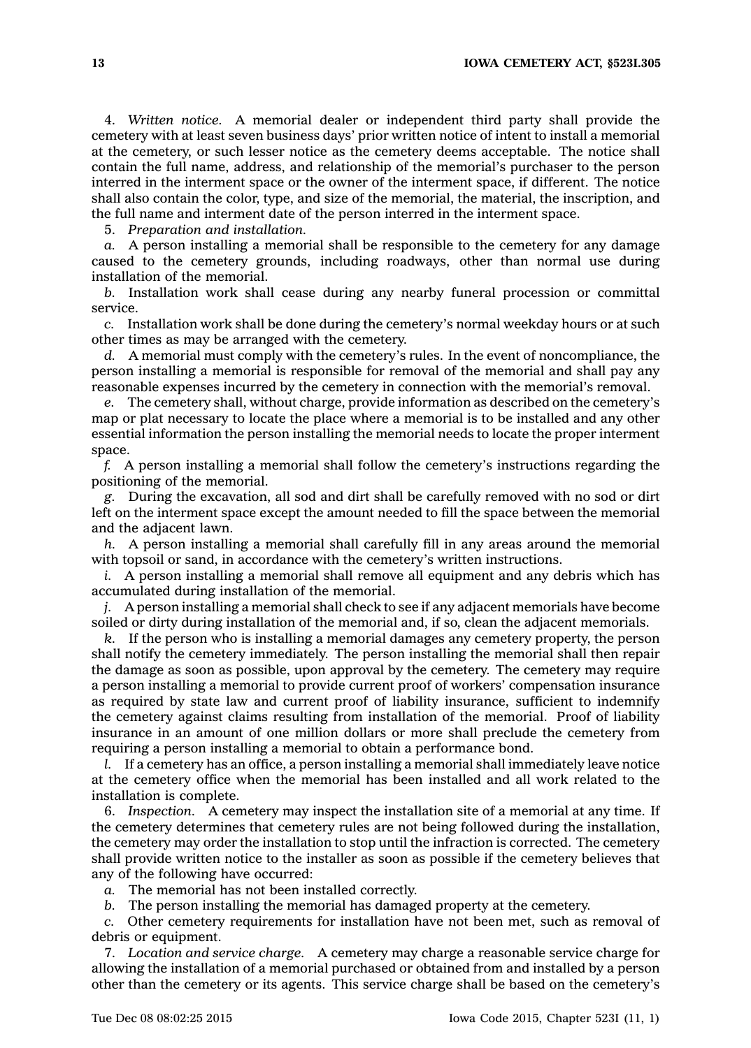4. *Written notice.* A memorial dealer or independent third party shall provide the cemetery with at least seven business days' prior written notice of intent to install <sup>a</sup> memorial at the cemetery, or such lesser notice as the cemetery deems acceptable. The notice shall contain the full name, address, and relationship of the memorial's purchaser to the person interred in the interment space or the owner of the interment space, if different. The notice shall also contain the color, type, and size of the memorial, the material, the inscription, and the full name and interment date of the person interred in the interment space.

5. *Preparation and installation.*

*a.* A person installing <sup>a</sup> memorial shall be responsible to the cemetery for any damage caused to the cemetery grounds, including roadways, other than normal use during installation of the memorial.

*b.* Installation work shall cease during any nearby funeral procession or committal service.

*c.* Installation work shall be done during the cemetery's normal weekday hours or at such other times as may be arranged with the cemetery.

*d.* A memorial must comply with the cemetery's rules. In the event of noncompliance, the person installing <sup>a</sup> memorial is responsible for removal of the memorial and shall pay any reasonable expenses incurred by the cemetery in connection with the memorial's removal.

*e.* The cemetery shall, without charge, provide information as described on the cemetery's map or plat necessary to locate the place where <sup>a</sup> memorial is to be installed and any other essential information the person installing the memorial needs to locate the proper interment space.

*f.* A person installing <sup>a</sup> memorial shall follow the cemetery's instructions regarding the positioning of the memorial.

*g.* During the excavation, all sod and dirt shall be carefully removed with no sod or dirt left on the interment space except the amount needed to fill the space between the memorial and the adjacent lawn.

*h.* A person installing <sup>a</sup> memorial shall carefully fill in any areas around the memorial with topsoil or sand, in accordance with the cemetery's written instructions.

*i.* A person installing a memorial shall remove all equipment and any debris which has accumulated during installation of the memorial.

*j.* A person installing <sup>a</sup> memorial shall check to see if any adjacent memorials have become soiled or dirty during installation of the memorial and, if so, clean the adjacent memorials.

*k.* If the person who is installing <sup>a</sup> memorial damages any cemetery property, the person shall notify the cemetery immediately. The person installing the memorial shall then repair the damage as soon as possible, upon approval by the cemetery. The cemetery may require <sup>a</sup> person installing <sup>a</sup> memorial to provide current proof of workers' compensation insurance as required by state law and current proof of liability insurance, sufficient to indemnify the cemetery against claims resulting from installation of the memorial. Proof of liability insurance in an amount of one million dollars or more shall preclude the cemetery from requiring <sup>a</sup> person installing <sup>a</sup> memorial to obtain <sup>a</sup> performance bond.

*l.* If <sup>a</sup> cemetery has an office, <sup>a</sup> person installing <sup>a</sup> memorial shall immediately leave notice at the cemetery office when the memorial has been installed and all work related to the installation is complete.

6. *Inspection.* A cemetery may inspect the installation site of <sup>a</sup> memorial at any time. If the cemetery determines that cemetery rules are not being followed during the installation, the cemetery may order the installation to stop until the infraction is corrected. The cemetery shall provide written notice to the installer as soon as possible if the cemetery believes that any of the following have occurred:

*a.* The memorial has not been installed correctly.

*b.* The person installing the memorial has damaged property at the cemetery.

*c.* Other cemetery requirements for installation have not been met, such as removal of debris or equipment.

7. *Location and service charge.* A cemetery may charge <sup>a</sup> reasonable service charge for allowing the installation of <sup>a</sup> memorial purchased or obtained from and installed by <sup>a</sup> person other than the cemetery or its agents. This service charge shall be based on the cemetery's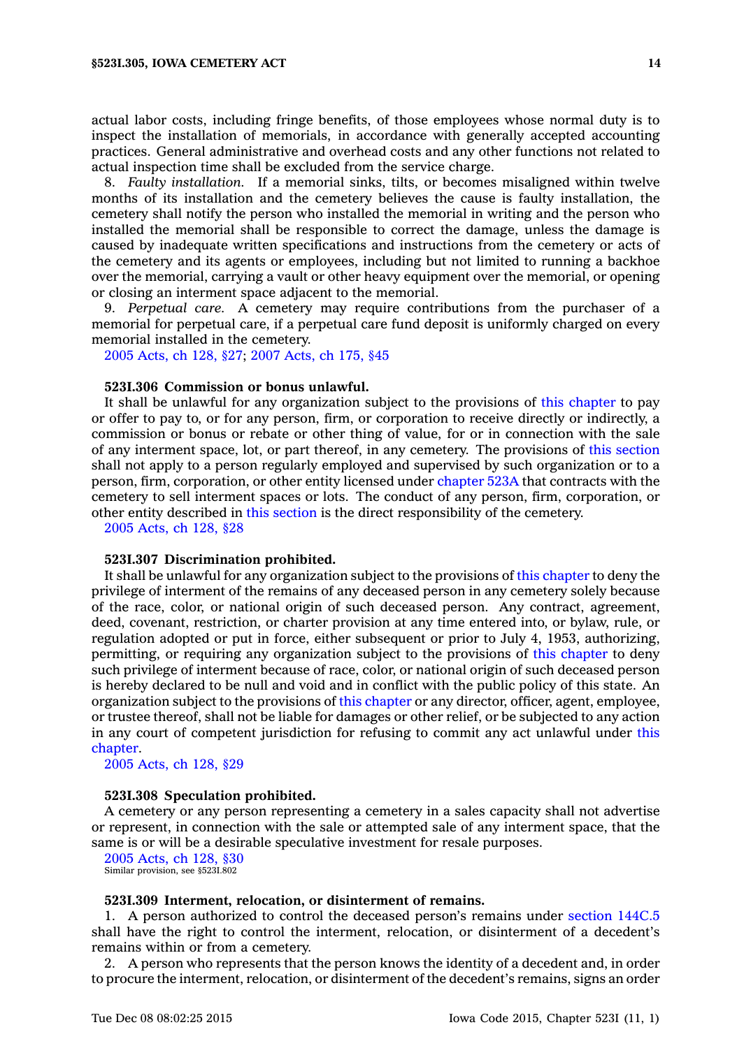actual labor costs, including fringe benefits, of those employees whose normal duty is to inspect the installation of memorials, in accordance with generally accepted accounting practices. General administrative and overhead costs and any other functions not related to actual inspection time shall be excluded from the service charge.

8. *Faulty installation.* If <sup>a</sup> memorial sinks, tilts, or becomes misaligned within twelve months of its installation and the cemetery believes the cause is faulty installation, the cemetery shall notify the person who installed the memorial in writing and the person who installed the memorial shall be responsible to correct the damage, unless the damage is caused by inadequate written specifications and instructions from the cemetery or acts of the cemetery and its agents or employees, including but not limited to running <sup>a</sup> backhoe over the memorial, carrying <sup>a</sup> vault or other heavy equipment over the memorial, or opening or closing an interment space adjacent to the memorial.

9. *Perpetual care.* A cemetery may require contributions from the purchaser of <sup>a</sup> memorial for perpetual care, if <sup>a</sup> perpetual care fund deposit is uniformly charged on every memorial installed in the cemetery.

2005 [Acts,](https://www.legis.iowa.gov/docs/acts/2005/CH0128.pdf) ch 128, §27; 2007 [Acts,](https://www.legis.iowa.gov/docs/acts/2007/CH0175.pdf) ch 175, §45

#### **523I.306 Commission or bonus unlawful.**

It shall be unlawful for any organization subject to the provisions of this [chapter](https://www.legis.iowa.gov/docs/code//523I.pdf) to pay or offer to pay to, or for any person, firm, or corporation to receive directly or indirectly, <sup>a</sup> commission or bonus or rebate or other thing of value, for or in connection with the sale of any interment space, lot, or part thereof, in any cemetery. The provisions of this [section](https://www.legis.iowa.gov/docs/code//523I.306.pdf) shall not apply to <sup>a</sup> person regularly employed and supervised by such organization or to <sup>a</sup> person, firm, corporation, or other entity licensed under [chapter](https://www.legis.iowa.gov/docs/code//523A.pdf) 523A that contracts with the cemetery to sell interment spaces or lots. The conduct of any person, firm, corporation, or other entity described in this [section](https://www.legis.iowa.gov/docs/code//523I.306.pdf) is the direct responsibility of the cemetery.

2005 [Acts,](https://www.legis.iowa.gov/docs/acts/2005/CH0128.pdf) ch 128, §28

### **523I.307 Discrimination prohibited.**

It shall be unlawful for any organization subject to the provisions of this [chapter](https://www.legis.iowa.gov/docs/code//523I.pdf) to deny the privilege of interment of the remains of any deceased person in any cemetery solely because of the race, color, or national origin of such deceased person. Any contract, agreement, deed, covenant, restriction, or charter provision at any time entered into, or bylaw, rule, or regulation adopted or put in force, either subsequent or prior to July 4, 1953, authorizing, permitting, or requiring any organization subject to the provisions of this [chapter](https://www.legis.iowa.gov/docs/code//523I.pdf) to deny such privilege of interment because of race, color, or national origin of such deceased person is hereby declared to be null and void and in conflict with the public policy of this state. An organization subject to the provisions of this [chapter](https://www.legis.iowa.gov/docs/code//523I.pdf) or any director, officer, agent, employee, or trustee thereof, shall not be liable for damages or other relief, or be subjected to any action in any court of competent jurisdiction for refusing to commit any act unlawful under [this](https://www.legis.iowa.gov/docs/code//523I.pdf) [chapter](https://www.legis.iowa.gov/docs/code//523I.pdf).

2005 [Acts,](https://www.legis.iowa.gov/docs/acts/2005/CH0128.pdf) ch 128, §29

#### **523I.308 Speculation prohibited.**

A cemetery or any person representing <sup>a</sup> cemetery in <sup>a</sup> sales capacity shall not advertise or represent, in connection with the sale or attempted sale of any interment space, that the same is or will be <sup>a</sup> desirable speculative investment for resale purposes.

2005 [Acts,](https://www.legis.iowa.gov/docs/acts/2005/CH0128.pdf) ch 128, §30 Similar provision, see §523I.802

#### **523I.309 Interment, relocation, or disinterment of remains.**

1. A person authorized to control the deceased person's remains under [section](https://www.legis.iowa.gov/docs/code//144C.5.pdf) 144C.5 shall have the right to control the interment, relocation, or disinterment of <sup>a</sup> decedent's remains within or from <sup>a</sup> cemetery.

2. A person who represents that the person knows the identity of <sup>a</sup> decedent and, in order to procure the interment, relocation, or disinterment of the decedent's remains, signs an order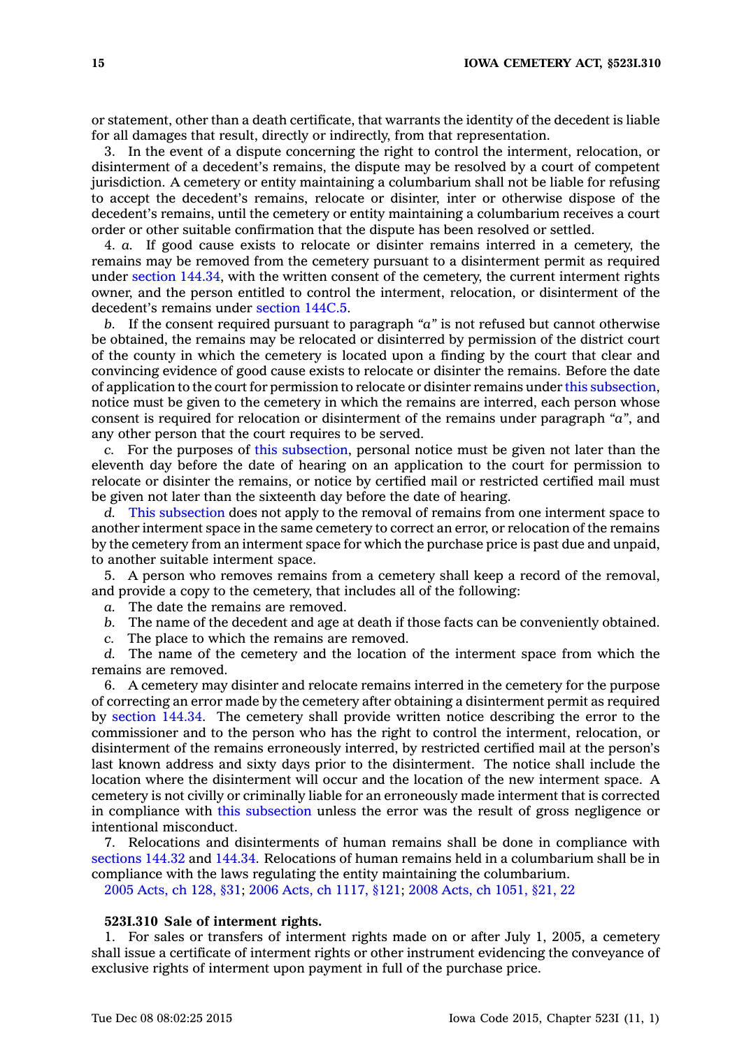or statement, other than <sup>a</sup> death certificate, that warrants the identity of the decedent is liable for all damages that result, directly or indirectly, from that representation.

3. In the event of <sup>a</sup> dispute concerning the right to control the interment, relocation, or disinterment of <sup>a</sup> decedent's remains, the dispute may be resolved by <sup>a</sup> court of competent jurisdiction. A cemetery or entity maintaining <sup>a</sup> columbarium shall not be liable for refusing to accept the decedent's remains, relocate or disinter, inter or otherwise dispose of the decedent's remains, until the cemetery or entity maintaining <sup>a</sup> columbarium receives <sup>a</sup> court order or other suitable confirmation that the dispute has been resolved or settled.

4. *a.* If good cause exists to relocate or disinter remains interred in <sup>a</sup> cemetery, the remains may be removed from the cemetery pursuant to <sup>a</sup> disinterment permit as required under section [144.34](https://www.legis.iowa.gov/docs/code//144.34.pdf), with the written consent of the cemetery, the current interment rights owner, and the person entitled to control the interment, relocation, or disinterment of the decedent's remains under [section](https://www.legis.iowa.gov/docs/code//144C.5.pdf) 144C.5.

*b.* If the consent required pursuant to paragraph *"a"* is not refused but cannot otherwise be obtained, the remains may be relocated or disinterred by permission of the district court of the county in which the cemetery is located upon <sup>a</sup> finding by the court that clear and convincing evidence of good cause exists to relocate or disinter the remains. Before the date of application to the court for permission to relocate or disinter remains under this [subsection](https://www.legis.iowa.gov/docs/code//523I.309.pdf), notice must be given to the cemetery in which the remains are interred, each person whose consent is required for relocation or disinterment of the remains under paragraph *"a"*, and any other person that the court requires to be served.

*c.* For the purposes of this [subsection](https://www.legis.iowa.gov/docs/code//523I.309.pdf), personal notice must be given not later than the eleventh day before the date of hearing on an application to the court for permission to relocate or disinter the remains, or notice by certified mail or restricted certified mail must be given not later than the sixteenth day before the date of hearing.

*d.* This [subsection](https://www.legis.iowa.gov/docs/code//523I.309.pdf) does not apply to the removal of remains from one interment space to another interment space in the same cemetery to correct an error, or relocation of the remains by the cemetery from an interment space for which the purchase price is past due and unpaid, to another suitable interment space.

5. A person who removes remains from <sup>a</sup> cemetery shall keep <sup>a</sup> record of the removal, and provide <sup>a</sup> copy to the cemetery, that includes all of the following:

*a.* The date the remains are removed.

- *b.* The name of the decedent and age at death if those facts can be conveniently obtained.
- *c.* The place to which the remains are removed.

*d.* The name of the cemetery and the location of the interment space from which the remains are removed.

6. A cemetery may disinter and relocate remains interred in the cemetery for the purpose of correcting an error made by the cemetery after obtaining <sup>a</sup> disinterment permit as required by [section](https://www.legis.iowa.gov/docs/code//144.34.pdf) 144.34. The cemetery shall provide written notice describing the error to the commissioner and to the person who has the right to control the interment, relocation, or disinterment of the remains erroneously interred, by restricted certified mail at the person's last known address and sixty days prior to the disinterment. The notice shall include the location where the disinterment will occur and the location of the new interment space. A cemetery is not civilly or criminally liable for an erroneously made interment that is corrected in compliance with this [subsection](https://www.legis.iowa.gov/docs/code//523I.309.pdf) unless the error was the result of gross negligence or intentional misconduct.

7. Relocations and disinterments of human remains shall be done in compliance with [sections](https://www.legis.iowa.gov/docs/code//144.32.pdf) 144.32 and [144.34](https://www.legis.iowa.gov/docs/code//144.34.pdf). Relocations of human remains held in <sup>a</sup> columbarium shall be in compliance with the laws regulating the entity maintaining the columbarium.

2005 [Acts,](https://www.legis.iowa.gov/docs/acts/2005/CH0128.pdf) ch 128, §31; 2006 Acts, ch [1117,](https://www.legis.iowa.gov/docs/acts/2006/CH1117.pdf) §121; 2008 Acts, ch [1051,](https://www.legis.iowa.gov/docs/acts/2008/CH1051.pdf) §21, 22

### **523I.310 Sale of interment rights.**

1. For sales or transfers of interment rights made on or after July 1, 2005, <sup>a</sup> cemetery shall issue <sup>a</sup> certificate of interment rights or other instrument evidencing the conveyance of exclusive rights of interment upon payment in full of the purchase price.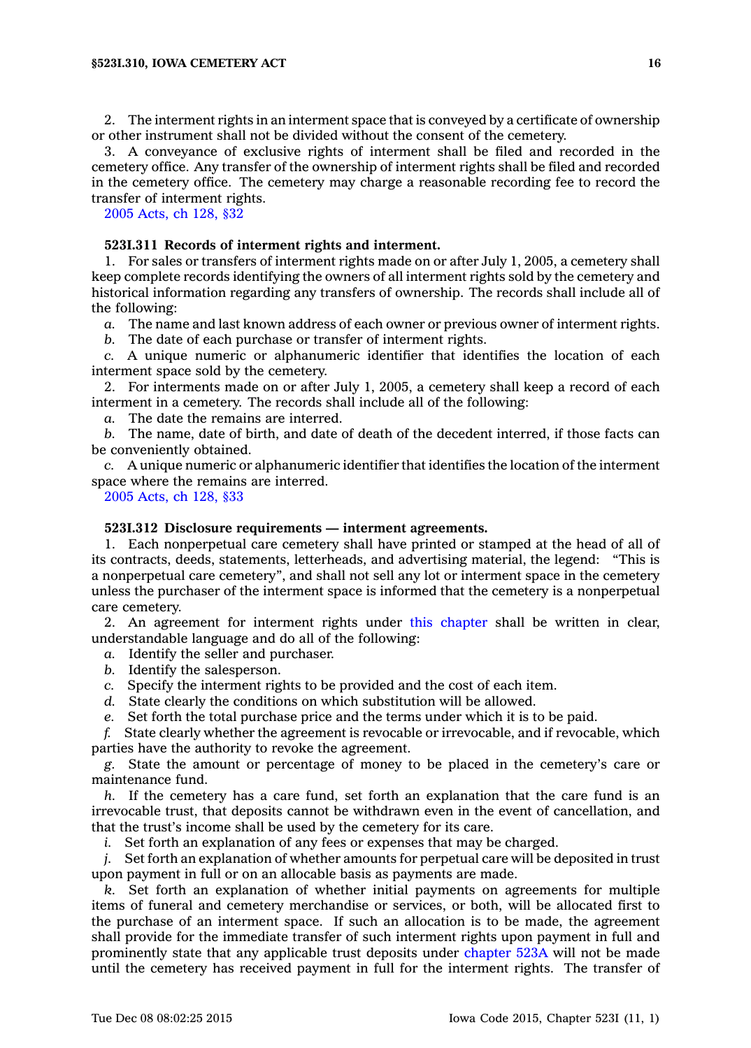2. The interment rights in an interment space that is conveyed by <sup>a</sup> certificate of ownership or other instrument shall not be divided without the consent of the cemetery.

3. A conveyance of exclusive rights of interment shall be filed and recorded in the cemetery office. Any transfer of the ownership of interment rights shall be filed and recorded in the cemetery office. The cemetery may charge <sup>a</sup> reasonable recording fee to record the transfer of interment rights.

2005 [Acts,](https://www.legis.iowa.gov/docs/acts/2005/CH0128.pdf) ch 128, §32

# **523I.311 Records of interment rights and interment.**

1. For sales or transfers of interment rights made on or after July 1, 2005, <sup>a</sup> cemetery shall keep complete records identifying the owners of all interment rights sold by the cemetery and historical information regarding any transfers of ownership. The records shall include all of the following:

*a.* The name and last known address of each owner or previous owner of interment rights.

*b.* The date of each purchase or transfer of interment rights.

*c.* A unique numeric or alphanumeric identifier that identifies the location of each interment space sold by the cemetery.

2. For interments made on or after July 1, 2005, <sup>a</sup> cemetery shall keep <sup>a</sup> record of each interment in <sup>a</sup> cemetery. The records shall include all of the following:

*a.* The date the remains are interred.

*b.* The name, date of birth, and date of death of the decedent interred, if those facts can be conveniently obtained.

*c.* A unique numeric or alphanumeric identifier that identifies the location of the interment space where the remains are interred.

2005 [Acts,](https://www.legis.iowa.gov/docs/acts/2005/CH0128.pdf) ch 128, §33

### **523I.312 Disclosure requirements — interment agreements.**

1. Each nonperpetual care cemetery shall have printed or stamped at the head of all of its contracts, deeds, statements, letterheads, and advertising material, the legend: "This is <sup>a</sup> nonperpetual care cemetery", and shall not sell any lot or interment space in the cemetery unless the purchaser of the interment space is informed that the cemetery is <sup>a</sup> nonperpetual care cemetery.

2. An agreement for interment rights under this [chapter](https://www.legis.iowa.gov/docs/code//523I.pdf) shall be written in clear, understandable language and do all of the following:

*a.* Identify the seller and purchaser.

- *b.* Identify the salesperson.
- *c.* Specify the interment rights to be provided and the cost of each item.
- *d.* State clearly the conditions on which substitution will be allowed.
- *e.* Set forth the total purchase price and the terms under which it is to be paid.

*f.* State clearly whether the agreement is revocable or irrevocable, and if revocable, which parties have the authority to revoke the agreement.

*g.* State the amount or percentage of money to be placed in the cemetery's care or maintenance fund.

*h.* If the cemetery has <sup>a</sup> care fund, set forth an explanation that the care fund is an irrevocable trust, that deposits cannot be withdrawn even in the event of cancellation, and that the trust's income shall be used by the cemetery for its care.

*i.* Set forth an explanation of any fees or expenses that may be charged.

*j.* Set forth an explanation of whether amounts for perpetual care will be deposited in trust upon payment in full or on an allocable basis as payments are made.

*k.* Set forth an explanation of whether initial payments on agreements for multiple items of funeral and cemetery merchandise or services, or both, will be allocated first to the purchase of an interment space. If such an allocation is to be made, the agreement shall provide for the immediate transfer of such interment rights upon payment in full and prominently state that any applicable trust deposits under [chapter](https://www.legis.iowa.gov/docs/code//523A.pdf) 523A will not be made until the cemetery has received payment in full for the interment rights. The transfer of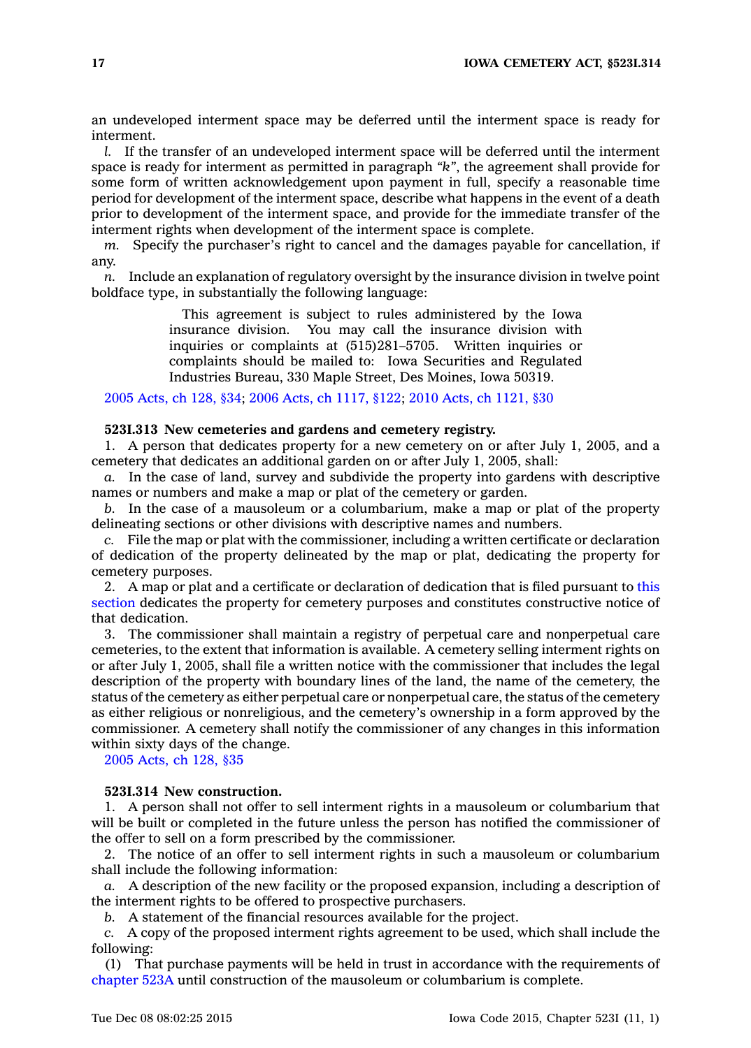an undeveloped interment space may be deferred until the interment space is ready for interment.

*l.* If the transfer of an undeveloped interment space will be deferred until the interment space is ready for interment as permitted in paragraph *"k"*, the agreement shall provide for some form of written acknowledgement upon payment in full, specify <sup>a</sup> reasonable time period for development of the interment space, describe what happens in the event of <sup>a</sup> death prior to development of the interment space, and provide for the immediate transfer of the interment rights when development of the interment space is complete.

*m.* Specify the purchaser's right to cancel and the damages payable for cancellation, if any.

*n.* Include an explanation of regulatory oversight by the insurance division in twelve point boldface type, in substantially the following language:

> This agreement is subject to rules administered by the Iowa insurance division. You may call the insurance division with inquiries or complaints at (515)281–5705. Written inquiries or complaints should be mailed to: Iowa Securities and Regulated Industries Bureau, 330 Maple Street, Des Moines, Iowa 50319.

2005 [Acts,](https://www.legis.iowa.gov/docs/acts/2005/CH0128.pdf) ch 128, §34; 2006 Acts, ch [1117,](https://www.legis.iowa.gov/docs/acts/2006/CH1117.pdf) §122; 2010 Acts, ch [1121,](https://www.legis.iowa.gov/docs/acts/2010/CH1121.pdf) §30

#### **523I.313 New cemeteries and gardens and cemetery registry.**

1. A person that dedicates property for <sup>a</sup> new cemetery on or after July 1, 2005, and <sup>a</sup> cemetery that dedicates an additional garden on or after July 1, 2005, shall:

*a.* In the case of land, survey and subdivide the property into gardens with descriptive names or numbers and make <sup>a</sup> map or plat of the cemetery or garden.

*b.* In the case of <sup>a</sup> mausoleum or <sup>a</sup> columbarium, make <sup>a</sup> map or plat of the property delineating sections or other divisions with descriptive names and numbers.

*c.* File the map or plat with the commissioner, including <sup>a</sup> written certificate or declaration of dedication of the property delineated by the map or plat, dedicating the property for cemetery purposes.

2. A map or plat and <sup>a</sup> certificate or declaration of dedication that is filed pursuant to [this](https://www.legis.iowa.gov/docs/code//523I.313.pdf) [section](https://www.legis.iowa.gov/docs/code//523I.313.pdf) dedicates the property for cemetery purposes and constitutes constructive notice of that dedication.

3. The commissioner shall maintain <sup>a</sup> registry of perpetual care and nonperpetual care cemeteries, to the extent that information is available. A cemetery selling interment rights on or after July 1, 2005, shall file <sup>a</sup> written notice with the commissioner that includes the legal description of the property with boundary lines of the land, the name of the cemetery, the status of the cemetery as either perpetual care or nonperpetual care, the status of the cemetery as either religious or nonreligious, and the cemetery's ownership in <sup>a</sup> form approved by the commissioner. A cemetery shall notify the commissioner of any changes in this information within sixty days of the change.

2005 [Acts,](https://www.legis.iowa.gov/docs/acts/2005/CH0128.pdf) ch 128, §35

# **523I.314 New construction.**

1. A person shall not offer to sell interment rights in <sup>a</sup> mausoleum or columbarium that will be built or completed in the future unless the person has notified the commissioner of the offer to sell on <sup>a</sup> form prescribed by the commissioner.

2. The notice of an offer to sell interment rights in such <sup>a</sup> mausoleum or columbarium shall include the following information:

*a.* A description of the new facility or the proposed expansion, including <sup>a</sup> description of the interment rights to be offered to prospective purchasers.

*b.* A statement of the financial resources available for the project.

*c.* A copy of the proposed interment rights agreement to be used, which shall include the following:

(1) That purchase payments will be held in trust in accordance with the requirements of [chapter](https://www.legis.iowa.gov/docs/code//523A.pdf) 523A until construction of the mausoleum or columbarium is complete.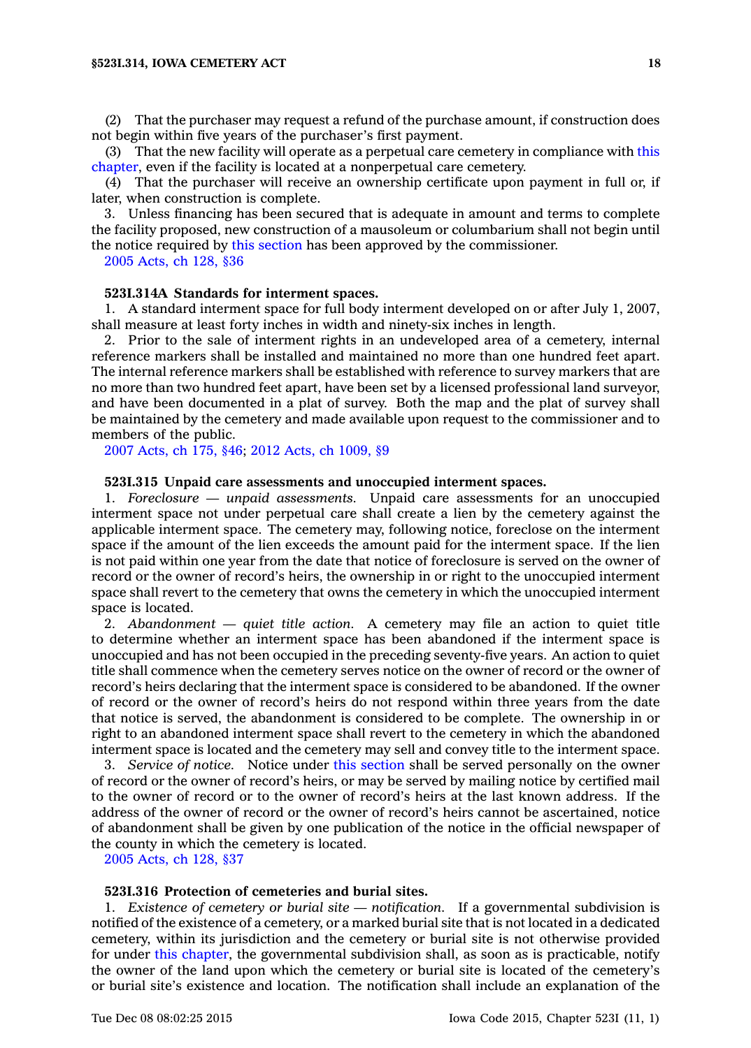(2) That the purchaser may request <sup>a</sup> refund of the purchase amount, if construction does not begin within five years of the purchaser's first payment.

(3) That the new facility will operate as <sup>a</sup> perpetual care cemetery in compliance with [this](https://www.legis.iowa.gov/docs/code//523I.pdf) [chapter](https://www.legis.iowa.gov/docs/code//523I.pdf), even if the facility is located at <sup>a</sup> nonperpetual care cemetery.

(4) That the purchaser will receive an ownership certificate upon payment in full or, if later, when construction is complete.

3. Unless financing has been secured that is adequate in amount and terms to complete the facility proposed, new construction of <sup>a</sup> mausoleum or columbarium shall not begin until the notice required by this [section](https://www.legis.iowa.gov/docs/code//523I.314.pdf) has been approved by the commissioner.

2005 [Acts,](https://www.legis.iowa.gov/docs/acts/2005/CH0128.pdf) ch 128, §36

### **523I.314A Standards for interment spaces.**

1. A standard interment space for full body interment developed on or after July 1, 2007, shall measure at least forty inches in width and ninety-six inches in length.

2. Prior to the sale of interment rights in an undeveloped area of <sup>a</sup> cemetery, internal reference markers shall be installed and maintained no more than one hundred feet apart. The internal reference markers shall be established with reference to survey markers that are no more than two hundred feet apart, have been set by <sup>a</sup> licensed professional land surveyor, and have been documented in <sup>a</sup> plat of survey. Both the map and the plat of survey shall be maintained by the cemetery and made available upon request to the commissioner and to members of the public.

2007 [Acts,](https://www.legis.iowa.gov/docs/acts/2007/CH0175.pdf) ch 175, §46; 2012 Acts, ch [1009,](https://www.legis.iowa.gov/docs/acts/2012/CH1009.pdf) §9

### **523I.315 Unpaid care assessments and unoccupied interment spaces.**

1. *Foreclosure — unpaid assessments.* Unpaid care assessments for an unoccupied interment space not under perpetual care shall create <sup>a</sup> lien by the cemetery against the applicable interment space. The cemetery may, following notice, foreclose on the interment space if the amount of the lien exceeds the amount paid for the interment space. If the lien is not paid within one year from the date that notice of foreclosure is served on the owner of record or the owner of record's heirs, the ownership in or right to the unoccupied interment space shall revert to the cemetery that owns the cemetery in which the unoccupied interment space is located.

2. *Abandonment — quiet title action.* A cemetery may file an action to quiet title to determine whether an interment space has been abandoned if the interment space is unoccupied and has not been occupied in the preceding seventy-five years. An action to quiet title shall commence when the cemetery serves notice on the owner of record or the owner of record's heirs declaring that the interment space is considered to be abandoned. If the owner of record or the owner of record's heirs do not respond within three years from the date that notice is served, the abandonment is considered to be complete. The ownership in or right to an abandoned interment space shall revert to the cemetery in which the abandoned interment space is located and the cemetery may sell and convey title to the interment space.

3. *Service of notice.* Notice under this [section](https://www.legis.iowa.gov/docs/code//523I.315.pdf) shall be served personally on the owner of record or the owner of record's heirs, or may be served by mailing notice by certified mail to the owner of record or to the owner of record's heirs at the last known address. If the address of the owner of record or the owner of record's heirs cannot be ascertained, notice of abandonment shall be given by one publication of the notice in the official newspaper of the county in which the cemetery is located.

2005 [Acts,](https://www.legis.iowa.gov/docs/acts/2005/CH0128.pdf) ch 128, §37

# **523I.316 Protection of cemeteries and burial sites.**

1. *Existence of cemetery or burial site — notification.* If <sup>a</sup> governmental subdivision is notified of the existence of <sup>a</sup> cemetery, or <sup>a</sup> marked burial site that is not located in <sup>a</sup> dedicated cemetery, within its jurisdiction and the cemetery or burial site is not otherwise provided for under this [chapter](https://www.legis.iowa.gov/docs/code//523I.pdf), the governmental subdivision shall, as soon as is practicable, notify the owner of the land upon which the cemetery or burial site is located of the cemetery's or burial site's existence and location. The notification shall include an explanation of the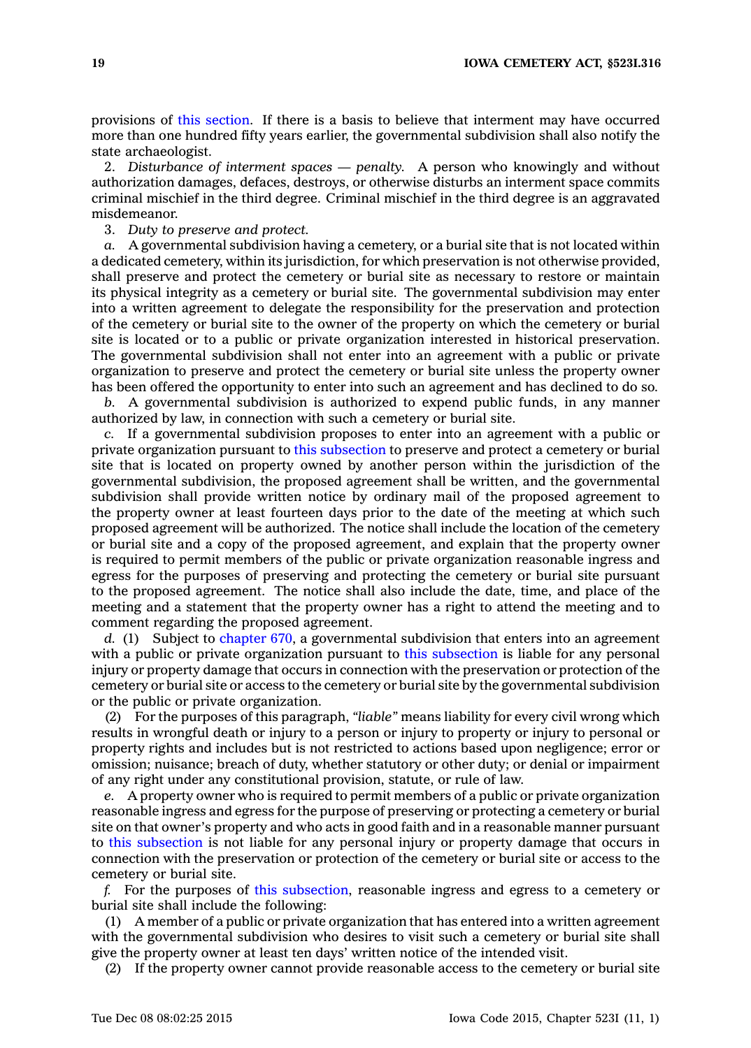provisions of this [section](https://www.legis.iowa.gov/docs/code//523I.316.pdf). If there is <sup>a</sup> basis to believe that interment may have occurred more than one hundred fifty years earlier, the governmental subdivision shall also notify the state archaeologist.

2. *Disturbance of interment spaces — penalty.* A person who knowingly and without authorization damages, defaces, destroys, or otherwise disturbs an interment space commits criminal mischief in the third degree. Criminal mischief in the third degree is an aggravated misdemeanor.

3. *Duty to preserve and protect.*

*a.* A governmental subdivision having <sup>a</sup> cemetery, or <sup>a</sup> burial site that is not located within <sup>a</sup> dedicated cemetery, within its jurisdiction, for which preservation is not otherwise provided, shall preserve and protect the cemetery or burial site as necessary to restore or maintain its physical integrity as <sup>a</sup> cemetery or burial site. The governmental subdivision may enter into <sup>a</sup> written agreement to delegate the responsibility for the preservation and protection of the cemetery or burial site to the owner of the property on which the cemetery or burial site is located or to <sup>a</sup> public or private organization interested in historical preservation. The governmental subdivision shall not enter into an agreement with <sup>a</sup> public or private organization to preserve and protect the cemetery or burial site unless the property owner has been offered the opportunity to enter into such an agreement and has declined to do so.

*b.* A governmental subdivision is authorized to expend public funds, in any manner authorized by law, in connection with such <sup>a</sup> cemetery or burial site.

*c.* If <sup>a</sup> governmental subdivision proposes to enter into an agreement with <sup>a</sup> public or private organization pursuant to this [subsection](https://www.legis.iowa.gov/docs/code//523I.316.pdf) to preserve and protect <sup>a</sup> cemetery or burial site that is located on property owned by another person within the jurisdiction of the governmental subdivision, the proposed agreement shall be written, and the governmental subdivision shall provide written notice by ordinary mail of the proposed agreement to the property owner at least fourteen days prior to the date of the meeting at which such proposed agreement will be authorized. The notice shall include the location of the cemetery or burial site and <sup>a</sup> copy of the proposed agreement, and explain that the property owner is required to permit members of the public or private organization reasonable ingress and egress for the purposes of preserving and protecting the cemetery or burial site pursuant to the proposed agreement. The notice shall also include the date, time, and place of the meeting and <sup>a</sup> statement that the property owner has <sup>a</sup> right to attend the meeting and to comment regarding the proposed agreement.

*d.* (1) Subject to [chapter](https://www.legis.iowa.gov/docs/code//670.pdf) 670, <sup>a</sup> governmental subdivision that enters into an agreement with a public or private organization pursuant to this [subsection](https://www.legis.iowa.gov/docs/code//523I.316.pdf) is liable for any personal injury or property damage that occurs in connection with the preservation or protection of the cemetery or burial site or access to the cemetery or burial site by the governmental subdivision or the public or private organization.

(2) For the purposes of this paragraph, *"liable"* means liability for every civil wrong which results in wrongful death or injury to <sup>a</sup> person or injury to property or injury to personal or property rights and includes but is not restricted to actions based upon negligence; error or omission; nuisance; breach of duty, whether statutory or other duty; or denial or impairment of any right under any constitutional provision, statute, or rule of law.

*e.* A property owner who is required to permit members of <sup>a</sup> public or private organization reasonable ingress and egress for the purpose of preserving or protecting <sup>a</sup> cemetery or burial site on that owner's property and who acts in good faith and in <sup>a</sup> reasonable manner pursuant to this [subsection](https://www.legis.iowa.gov/docs/code//523I.316.pdf) is not liable for any personal injury or property damage that occurs in connection with the preservation or protection of the cemetery or burial site or access to the cemetery or burial site.

*f.* For the purposes of this [subsection](https://www.legis.iowa.gov/docs/code//523I.316.pdf), reasonable ingress and egress to <sup>a</sup> cemetery or burial site shall include the following:

(1) A member of <sup>a</sup> public or private organization that has entered into <sup>a</sup> written agreement with the governmental subdivision who desires to visit such <sup>a</sup> cemetery or burial site shall give the property owner at least ten days' written notice of the intended visit.

(2) If the property owner cannot provide reasonable access to the cemetery or burial site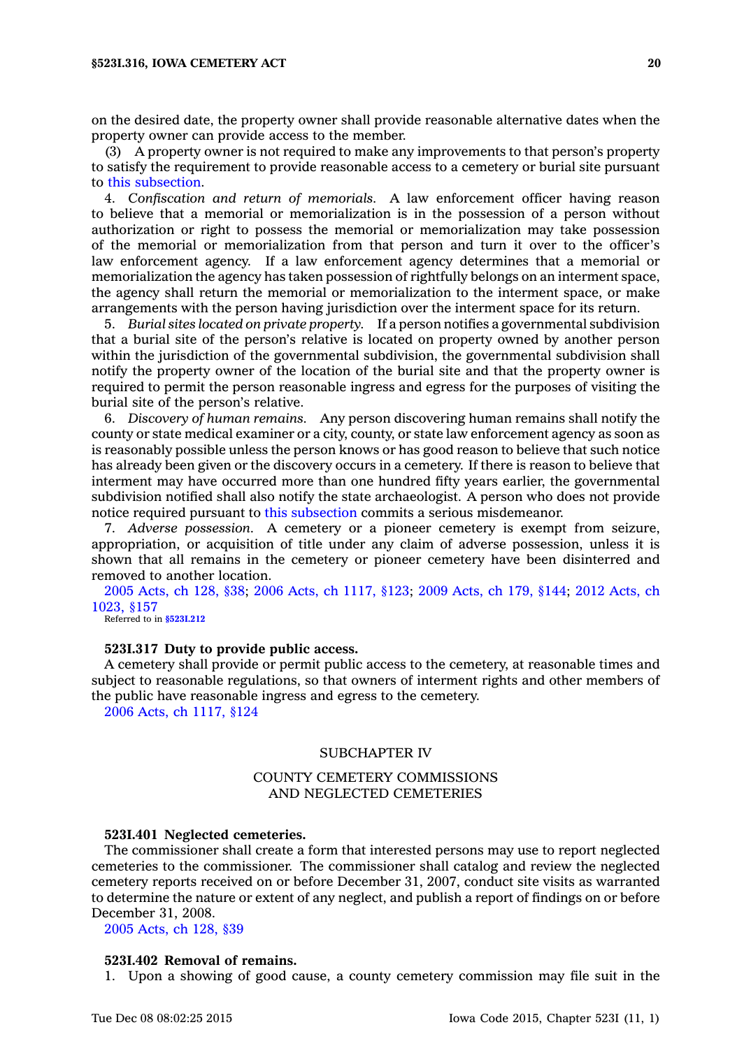on the desired date, the property owner shall provide reasonable alternative dates when the property owner can provide access to the member.

(3) A property owner is not required to make any improvements to that person's property to satisfy the requirement to provide reasonable access to <sup>a</sup> cemetery or burial site pursuant to this [subsection](https://www.legis.iowa.gov/docs/code//523I.316.pdf).

4. *Confiscation and return of memorials.* A law enforcement officer having reason to believe that <sup>a</sup> memorial or memorialization is in the possession of <sup>a</sup> person without authorization or right to possess the memorial or memorialization may take possession of the memorial or memorialization from that person and turn it over to the officer's law enforcement agency. If <sup>a</sup> law enforcement agency determines that <sup>a</sup> memorial or memorialization the agency has taken possession of rightfully belongs on an interment space, the agency shall return the memorial or memorialization to the interment space, or make arrangements with the person having jurisdiction over the interment space for its return.

5. *Burial sites located on private property.* If <sup>a</sup> person notifies <sup>a</sup> governmental subdivision that <sup>a</sup> burial site of the person's relative is located on property owned by another person within the jurisdiction of the governmental subdivision, the governmental subdivision shall notify the property owner of the location of the burial site and that the property owner is required to permit the person reasonable ingress and egress for the purposes of visiting the burial site of the person's relative.

6. *Discovery of human remains.* Any person discovering human remains shall notify the county or state medical examiner or <sup>a</sup> city, county, or state law enforcement agency as soon as is reasonably possible unless the person knows or has good reason to believe that such notice has already been given or the discovery occurs in <sup>a</sup> cemetery. If there is reason to believe that interment may have occurred more than one hundred fifty years earlier, the governmental subdivision notified shall also notify the state archaeologist. A person who does not provide notice required pursuant to this [subsection](https://www.legis.iowa.gov/docs/code//523I.316.pdf) commits <sup>a</sup> serious misdemeanor.

7. *Adverse possession.* A cemetery or <sup>a</sup> pioneer cemetery is exempt from seizure, appropriation, or acquisition of title under any claim of adverse possession, unless it is shown that all remains in the cemetery or pioneer cemetery have been disinterred and removed to another location.

2005 [Acts,](https://www.legis.iowa.gov/docs/acts/2005/CH0128.pdf) ch 128, §38; 2006 Acts, ch [1117,](https://www.legis.iowa.gov/docs/acts/2006/CH1117.pdf) §123; 2009 [Acts,](https://www.legis.iowa.gov/docs/acts/2009/CH0179.pdf) ch 179, §144; 2012 [Acts,](https://www.legis.iowa.gov/docs/acts/2012/CH1023.pdf) ch [1023,](https://www.legis.iowa.gov/docs/acts/2012/CH1023.pdf) §157

Referred to in **[§523I.212](https://www.legis.iowa.gov/docs/code/523I.212.pdf)**

#### **523I.317 Duty to provide public access.**

A cemetery shall provide or permit public access to the cemetery, at reasonable times and subject to reasonable regulations, so that owners of interment rights and other members of the public have reasonable ingress and egress to the cemetery.

2006 Acts, ch [1117,](https://www.legis.iowa.gov/docs/acts/2006/CH1117.pdf) §124

# SUBCHAPTER IV

# COUNTY CEMETERY COMMISSIONS AND NEGLECTED CEMETERIES

#### **523I.401 Neglected cemeteries.**

The commissioner shall create <sup>a</sup> form that interested persons may use to report neglected cemeteries to the commissioner. The commissioner shall catalog and review the neglected cemetery reports received on or before December 31, 2007, conduct site visits as warranted to determine the nature or extent of any neglect, and publish <sup>a</sup> report of findings on or before December 31, 2008.

2005 [Acts,](https://www.legis.iowa.gov/docs/acts/2005/CH0128.pdf) ch 128, §39

#### **523I.402 Removal of remains.**

1. Upon <sup>a</sup> showing of good cause, <sup>a</sup> county cemetery commission may file suit in the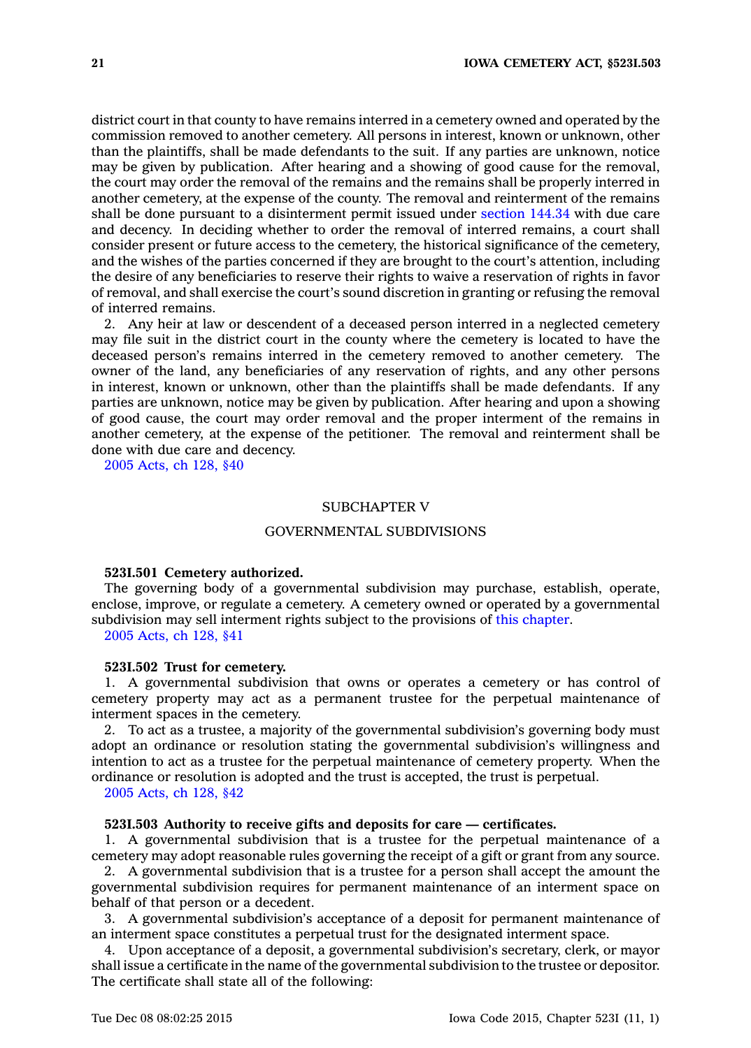district court in that county to have remains interred in <sup>a</sup> cemetery owned and operated by the commission removed to another cemetery. All persons in interest, known or unknown, other than the plaintiffs, shall be made defendants to the suit. If any parties are unknown, notice may be given by publication. After hearing and <sup>a</sup> showing of good cause for the removal, the court may order the removal of the remains and the remains shall be properly interred in another cemetery, at the expense of the county. The removal and reinterment of the remains shall be done pursuant to <sup>a</sup> disinterment permit issued under [section](https://www.legis.iowa.gov/docs/code//144.34.pdf) 144.34 with due care and decency. In deciding whether to order the removal of interred remains, <sup>a</sup> court shall consider present or future access to the cemetery, the historical significance of the cemetery, and the wishes of the parties concerned if they are brought to the court's attention, including the desire of any beneficiaries to reserve their rights to waive <sup>a</sup> reservation of rights in favor of removal, and shall exercise the court's sound discretion in granting or refusing the removal of interred remains.

2. Any heir at law or descendent of <sup>a</sup> deceased person interred in <sup>a</sup> neglected cemetery may file suit in the district court in the county where the cemetery is located to have the deceased person's remains interred in the cemetery removed to another cemetery. The owner of the land, any beneficiaries of any reservation of rights, and any other persons in interest, known or unknown, other than the plaintiffs shall be made defendants. If any parties are unknown, notice may be given by publication. After hearing and upon <sup>a</sup> showing of good cause, the court may order removal and the proper interment of the remains in another cemetery, at the expense of the petitioner. The removal and reinterment shall be done with due care and decency.

2005 [Acts,](https://www.legis.iowa.gov/docs/acts/2005/CH0128.pdf) ch 128, §40

### SUBCHAPTER V

### GOVERNMENTAL SUBDIVISIONS

#### **523I.501 Cemetery authorized.**

The governing body of <sup>a</sup> governmental subdivision may purchase, establish, operate, enclose, improve, or regulate <sup>a</sup> cemetery. A cemetery owned or operated by <sup>a</sup> governmental subdivision may sell interment rights subject to the provisions of this [chapter](https://www.legis.iowa.gov/docs/code//523I.pdf).

2005 [Acts,](https://www.legis.iowa.gov/docs/acts/2005/CH0128.pdf) ch 128, §41

### **523I.502 Trust for cemetery.**

1. A governmental subdivision that owns or operates <sup>a</sup> cemetery or has control of cemetery property may act as <sup>a</sup> permanent trustee for the perpetual maintenance of interment spaces in the cemetery.

2. To act as <sup>a</sup> trustee, <sup>a</sup> majority of the governmental subdivision's governing body must adopt an ordinance or resolution stating the governmental subdivision's willingness and intention to act as <sup>a</sup> trustee for the perpetual maintenance of cemetery property. When the ordinance or resolution is adopted and the trust is accepted, the trust is perpetual.

2005 [Acts,](https://www.legis.iowa.gov/docs/acts/2005/CH0128.pdf) ch 128, §42

# **523I.503 Authority to receive gifts and deposits for care — certificates.**

1. A governmental subdivision that is <sup>a</sup> trustee for the perpetual maintenance of <sup>a</sup> cemetery may adopt reasonable rules governing the receipt of <sup>a</sup> gift or grant from any source.

2. A governmental subdivision that is <sup>a</sup> trustee for <sup>a</sup> person shall accept the amount the governmental subdivision requires for permanent maintenance of an interment space on behalf of that person or <sup>a</sup> decedent.

3. A governmental subdivision's acceptance of <sup>a</sup> deposit for permanent maintenance of an interment space constitutes <sup>a</sup> perpetual trust for the designated interment space.

4. Upon acceptance of <sup>a</sup> deposit, <sup>a</sup> governmental subdivision's secretary, clerk, or mayor shall issue <sup>a</sup> certificate in the name of the governmental subdivision to the trustee or depositor. The certificate shall state all of the following: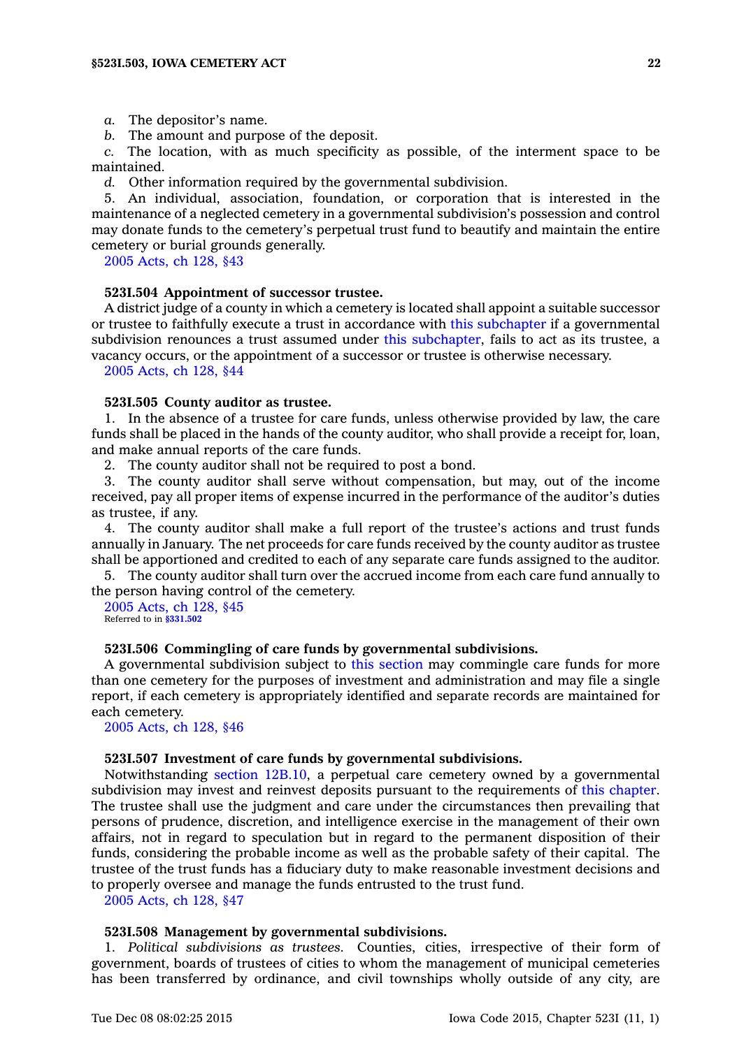*a.* The depositor's name.

*b.* The amount and purpose of the deposit.

*c.* The location, with as much specificity as possible, of the interment space to be maintained.

*d.* Other information required by the governmental subdivision.

5. An individual, association, foundation, or corporation that is interested in the maintenance of <sup>a</sup> neglected cemetery in <sup>a</sup> governmental subdivision's possession and control may donate funds to the cemetery's perpetual trust fund to beautify and maintain the entire cemetery or burial grounds generally.

2005 [Acts,](https://www.legis.iowa.gov/docs/acts/2005/CH0128.pdf) ch 128, §43

### **523I.504 Appointment of successor trustee.**

A district judge of <sup>a</sup> county in which <sup>a</sup> cemetery is located shall appoint <sup>a</sup> suitable successor or trustee to faithfully execute <sup>a</sup> trust in accordance with this [subchapter](https://www.legis.iowa.gov/docs/code//523I.pdf) if <sup>a</sup> governmental subdivision renounces <sup>a</sup> trust assumed under this [subchapter](https://www.legis.iowa.gov/docs/code//523I.pdf), fails to act as its trustee, <sup>a</sup> vacancy occurs, or the appointment of <sup>a</sup> successor or trustee is otherwise necessary.

2005 [Acts,](https://www.legis.iowa.gov/docs/acts/2005/CH0128.pdf) ch 128, §44

# **523I.505 County auditor as trustee.**

1. In the absence of <sup>a</sup> trustee for care funds, unless otherwise provided by law, the care funds shall be placed in the hands of the county auditor, who shall provide <sup>a</sup> receipt for, loan, and make annual reports of the care funds.

2. The county auditor shall not be required to post <sup>a</sup> bond.

3. The county auditor shall serve without compensation, but may, out of the income received, pay all proper items of expense incurred in the performance of the auditor's duties as trustee, if any.

4. The county auditor shall make <sup>a</sup> full report of the trustee's actions and trust funds annually in January. The net proceeds for care funds received by the county auditor as trustee shall be apportioned and credited to each of any separate care funds assigned to the auditor.

5. The county auditor shall turn over the accrued income from each care fund annually to the person having control of the cemetery.

2005 [Acts,](https://www.legis.iowa.gov/docs/acts/2005/CH0128.pdf) ch 128, §45 Referred to in **[§331.502](https://www.legis.iowa.gov/docs/code/331.502.pdf)**

#### **523I.506 Commingling of care funds by governmental subdivisions.**

A governmental subdivision subject to this [section](https://www.legis.iowa.gov/docs/code//523I.506.pdf) may commingle care funds for more than one cemetery for the purposes of investment and administration and may file <sup>a</sup> single report, if each cemetery is appropriately identified and separate records are maintained for each cemetery.

2005 [Acts,](https://www.legis.iowa.gov/docs/acts/2005/CH0128.pdf) ch 128, §46

#### **523I.507 Investment of care funds by governmental subdivisions.**

Notwithstanding section [12B.10](https://www.legis.iowa.gov/docs/code//12B.10.pdf), <sup>a</sup> perpetual care cemetery owned by <sup>a</sup> governmental subdivision may invest and reinvest deposits pursuant to the requirements of this [chapter](https://www.legis.iowa.gov/docs/code//523I.pdf). The trustee shall use the judgment and care under the circumstances then prevailing that persons of prudence, discretion, and intelligence exercise in the management of their own affairs, not in regard to speculation but in regard to the permanent disposition of their funds, considering the probable income as well as the probable safety of their capital. The trustee of the trust funds has <sup>a</sup> fiduciary duty to make reasonable investment decisions and to properly oversee and manage the funds entrusted to the trust fund.

2005 [Acts,](https://www.legis.iowa.gov/docs/acts/2005/CH0128.pdf) ch 128, §47

### **523I.508 Management by governmental subdivisions.**

1. *Political subdivisions as trustees.* Counties, cities, irrespective of their form of government, boards of trustees of cities to whom the management of municipal cemeteries has been transferred by ordinance, and civil townships wholly outside of any city, are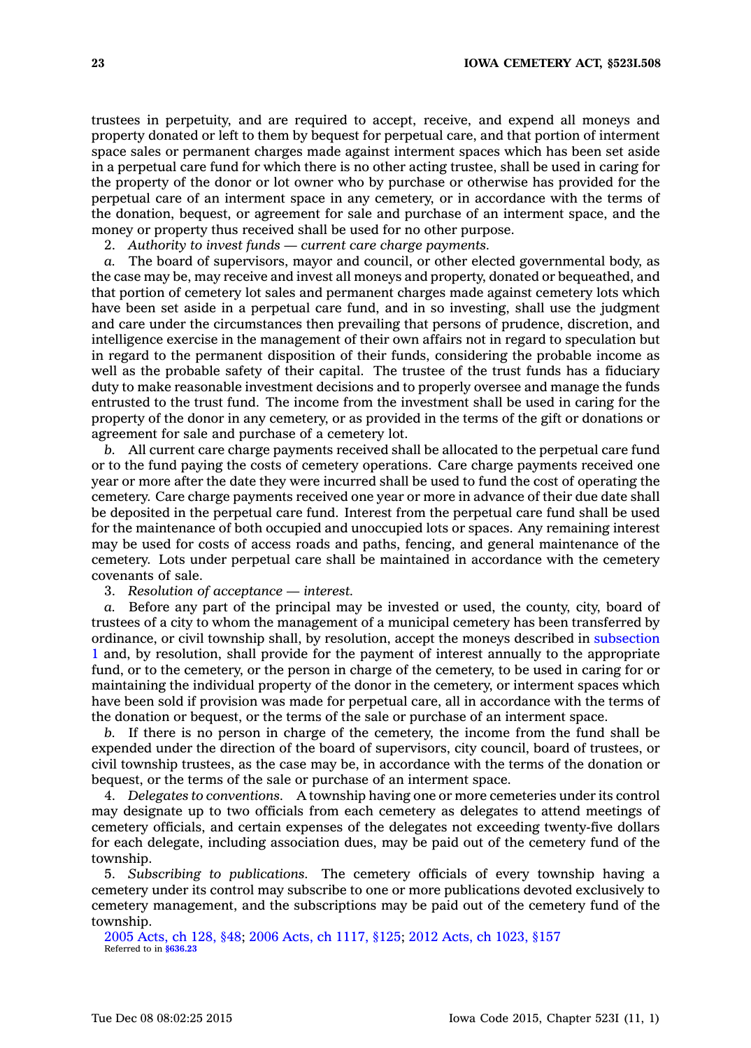trustees in perpetuity, and are required to accept, receive, and expend all moneys and property donated or left to them by bequest for perpetual care, and that portion of interment space sales or permanent charges made against interment spaces which has been set aside in <sup>a</sup> perpetual care fund for which there is no other acting trustee, shall be used in caring for the property of the donor or lot owner who by purchase or otherwise has provided for the perpetual care of an interment space in any cemetery, or in accordance with the terms of the donation, bequest, or agreement for sale and purchase of an interment space, and the money or property thus received shall be used for no other purpose.

2. *Authority to invest funds — current care charge payments.*

*a.* The board of supervisors, mayor and council, or other elected governmental body, as the case may be, may receive and invest all moneys and property, donated or bequeathed, and that portion of cemetery lot sales and permanent charges made against cemetery lots which have been set aside in <sup>a</sup> perpetual care fund, and in so investing, shall use the judgment and care under the circumstances then prevailing that persons of prudence, discretion, and intelligence exercise in the management of their own affairs not in regard to speculation but in regard to the permanent disposition of their funds, considering the probable income as well as the probable safety of their capital. The trustee of the trust funds has a fiduciary duty to make reasonable investment decisions and to properly oversee and manage the funds entrusted to the trust fund. The income from the investment shall be used in caring for the property of the donor in any cemetery, or as provided in the terms of the gift or donations or agreement for sale and purchase of <sup>a</sup> cemetery lot.

*b.* All current care charge payments received shall be allocated to the perpetual care fund or to the fund paying the costs of cemetery operations. Care charge payments received one year or more after the date they were incurred shall be used to fund the cost of operating the cemetery. Care charge payments received one year or more in advance of their due date shall be deposited in the perpetual care fund. Interest from the perpetual care fund shall be used for the maintenance of both occupied and unoccupied lots or spaces. Any remaining interest may be used for costs of access roads and paths, fencing, and general maintenance of the cemetery. Lots under perpetual care shall be maintained in accordance with the cemetery covenants of sale.

3. *Resolution of acceptance — interest.*

*a.* Before any part of the principal may be invested or used, the county, city, board of trustees of <sup>a</sup> city to whom the management of <sup>a</sup> municipal cemetery has been transferred by ordinance, or civil township shall, by resolution, accept the moneys described in [subsection](https://www.legis.iowa.gov/docs/code//523I.508.pdf) [1](https://www.legis.iowa.gov/docs/code//523I.508.pdf) and, by resolution, shall provide for the payment of interest annually to the appropriate fund, or to the cemetery, or the person in charge of the cemetery, to be used in caring for or maintaining the individual property of the donor in the cemetery, or interment spaces which have been sold if provision was made for perpetual care, all in accordance with the terms of the donation or bequest, or the terms of the sale or purchase of an interment space.

*b.* If there is no person in charge of the cemetery, the income from the fund shall be expended under the direction of the board of supervisors, city council, board of trustees, or civil township trustees, as the case may be, in accordance with the terms of the donation or bequest, or the terms of the sale or purchase of an interment space.

4. *Delegates to conventions.* A township having one or more cemeteries under its control may designate up to two officials from each cemetery as delegates to attend meetings of cemetery officials, and certain expenses of the delegates not exceeding twenty-five dollars for each delegate, including association dues, may be paid out of the cemetery fund of the township.

5. *Subscribing to publications.* The cemetery officials of every township having <sup>a</sup> cemetery under its control may subscribe to one or more publications devoted exclusively to cemetery management, and the subscriptions may be paid out of the cemetery fund of the township.

2005 [Acts,](https://www.legis.iowa.gov/docs/acts/2005/CH0128.pdf) ch 128, §48; 2006 Acts, ch [1117,](https://www.legis.iowa.gov/docs/acts/2006/CH1117.pdf) §125; 2012 Acts, ch [1023,](https://www.legis.iowa.gov/docs/acts/2012/CH1023.pdf) §157 Referred to in **[§636.23](https://www.legis.iowa.gov/docs/code/636.23.pdf)**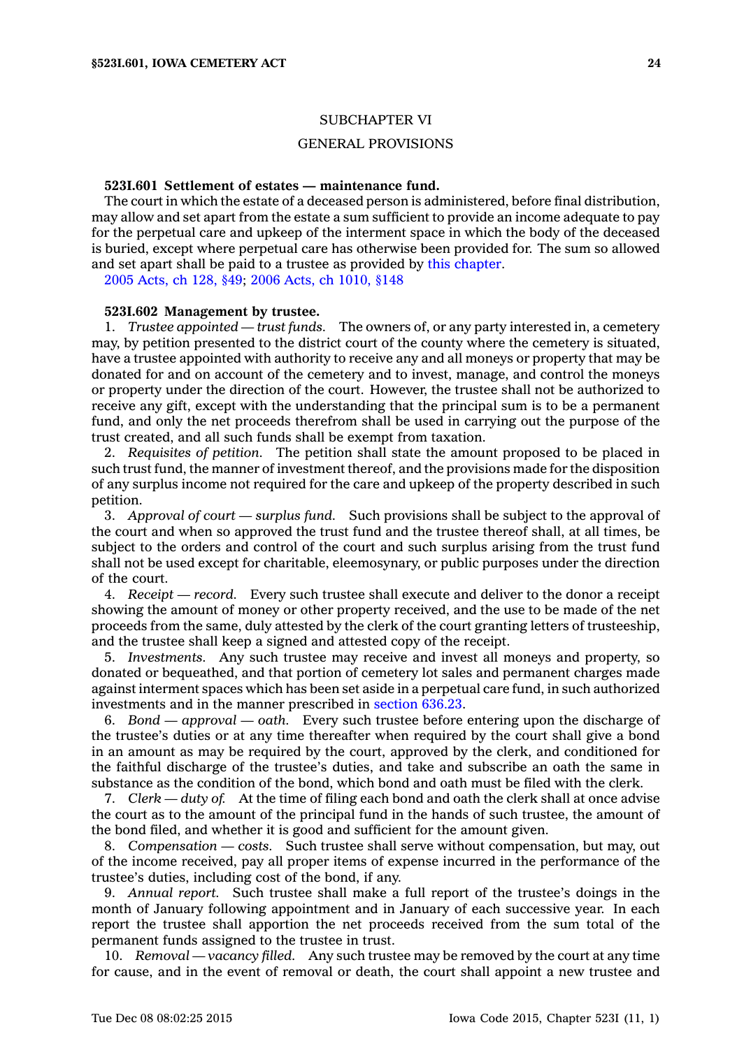### GENERAL PROVISIONS

### **523I.601 Settlement of estates — maintenance fund.**

The court in which the estate of <sup>a</sup> deceased person is administered, before final distribution, may allow and set apart from the estate <sup>a</sup> sum sufficient to provide an income adequate to pay for the perpetual care and upkeep of the interment space in which the body of the deceased is buried, except where perpetual care has otherwise been provided for. The sum so allowed and set apart shall be paid to <sup>a</sup> trustee as provided by this [chapter](https://www.legis.iowa.gov/docs/code//523I.pdf).

2005 [Acts,](https://www.legis.iowa.gov/docs/acts/2005/CH0128.pdf) ch 128, §49; 2006 Acts, ch [1010,](https://www.legis.iowa.gov/docs/acts/2006/CH1010.pdf) §148

#### **523I.602 Management by trustee.**

1. *Trustee appointed — trust funds.* The owners of, or any party interested in, <sup>a</sup> cemetery may, by petition presented to the district court of the county where the cemetery is situated, have <sup>a</sup> trustee appointed with authority to receive any and all moneys or property that may be donated for and on account of the cemetery and to invest, manage, and control the moneys or property under the direction of the court. However, the trustee shall not be authorized to receive any gift, except with the understanding that the principal sum is to be <sup>a</sup> permanent fund, and only the net proceeds therefrom shall be used in carrying out the purpose of the trust created, and all such funds shall be exempt from taxation.

2. *Requisites of petition.* The petition shall state the amount proposed to be placed in such trust fund, the manner of investment thereof, and the provisions made for the disposition of any surplus income not required for the care and upkeep of the property described in such petition.

3. *Approval of court —surplus fund.* Such provisions shall be subject to the approval of the court and when so approved the trust fund and the trustee thereof shall, at all times, be subject to the orders and control of the court and such surplus arising from the trust fund shall not be used except for charitable, eleemosynary, or public purposes under the direction of the court.

4. *Receipt —record.* Every such trustee shall execute and deliver to the donor <sup>a</sup> receipt showing the amount of money or other property received, and the use to be made of the net proceeds from the same, duly attested by the clerk of the court granting letters of trusteeship, and the trustee shall keep <sup>a</sup> signed and attested copy of the receipt.

5. *Investments.* Any such trustee may receive and invest all moneys and property, so donated or bequeathed, and that portion of cemetery lot sales and permanent charges made against interment spaces which has been set aside in <sup>a</sup> perpetual care fund, in such authorized investments and in the manner prescribed in [section](https://www.legis.iowa.gov/docs/code//636.23.pdf) 636.23.

6. *Bond — approval —oath.* Every such trustee before entering upon the discharge of the trustee's duties or at any time thereafter when required by the court shall give <sup>a</sup> bond in an amount as may be required by the court, approved by the clerk, and conditioned for the faithful discharge of the trustee's duties, and take and subscribe an oath the same in substance as the condition of the bond, which bond and oath must be filed with the clerk.

7. *Clerk — duty of.* At the time of filing each bond and oath the clerk shall at once advise the court as to the amount of the principal fund in the hands of such trustee, the amount of the bond filed, and whether it is good and sufficient for the amount given.

8. *Compensation — costs.* Such trustee shall serve without compensation, but may, out of the income received, pay all proper items of expense incurred in the performance of the trustee's duties, including cost of the bond, if any.

9. *Annual report.* Such trustee shall make <sup>a</sup> full report of the trustee's doings in the month of January following appointment and in January of each successive year. In each report the trustee shall apportion the net proceeds received from the sum total of the permanent funds assigned to the trustee in trust.

10. *Removal — vacancy filled.* Any such trustee may be removed by the court at any time for cause, and in the event of removal or death, the court shall appoint <sup>a</sup> new trustee and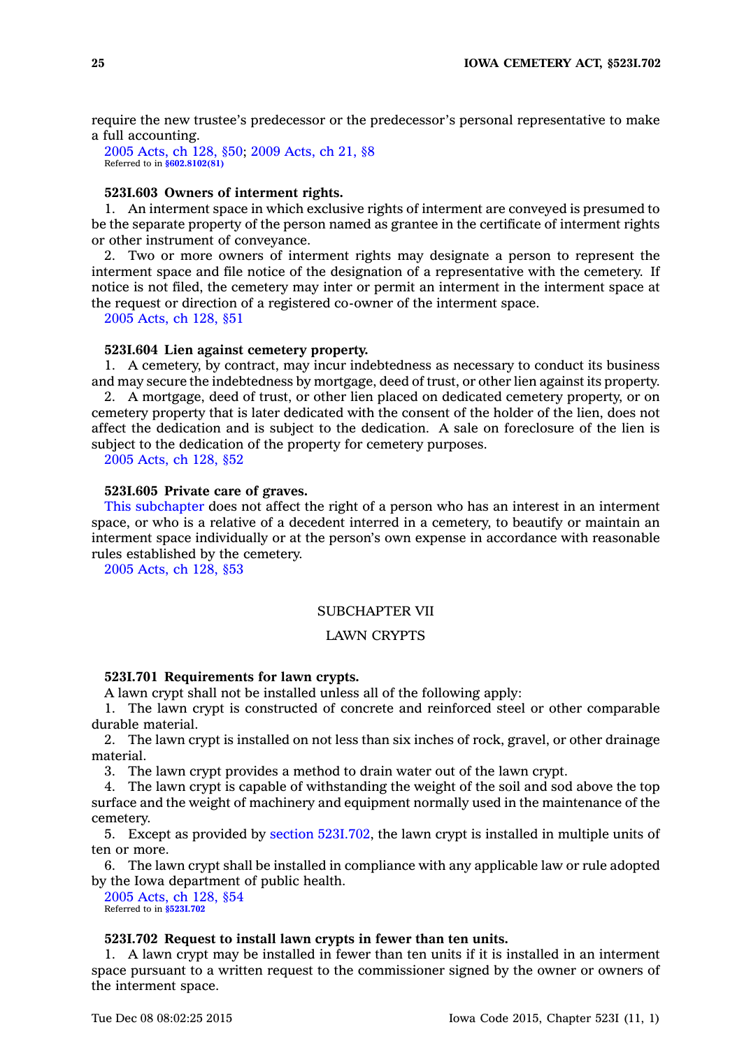require the new trustee's predecessor or the predecessor's personal representative to make <sup>a</sup> full accounting.

2005 [Acts,](https://www.legis.iowa.gov/docs/acts/2005/CH0128.pdf) ch 128, §50; 2009 [Acts,](https://www.legis.iowa.gov/docs/acts/2009/CH0021.pdf) ch 21, §8 Referred to in **[§602.8102\(81\)](https://www.legis.iowa.gov/docs/code/602.8102.pdf)**

# **523I.603 Owners of interment rights.**

1. An interment space in which exclusive rights of interment are conveyed is presumed to be the separate property of the person named as grantee in the certificate of interment rights or other instrument of conveyance.

2. Two or more owners of interment rights may designate <sup>a</sup> person to represent the interment space and file notice of the designation of <sup>a</sup> representative with the cemetery. If notice is not filed, the cemetery may inter or permit an interment in the interment space at the request or direction of <sup>a</sup> registered co-owner of the interment space.

2005 [Acts,](https://www.legis.iowa.gov/docs/acts/2005/CH0128.pdf) ch 128, §51

#### **523I.604 Lien against cemetery property.**

1. A cemetery, by contract, may incur indebtedness as necessary to conduct its business and may secure the indebtedness by mortgage, deed of trust, or other lien against its property. 2. A mortgage, deed of trust, or other lien placed on dedicated cemetery property, or on cemetery property that is later dedicated with the consent of the holder of the lien, does not affect the dedication and is subject to the dedication. A sale on foreclosure of the lien is

subject to the dedication of the property for cemetery purposes.

2005 [Acts,](https://www.legis.iowa.gov/docs/acts/2005/CH0128.pdf) ch 128, §52

# **523I.605 Private care of graves.**

This [subchapter](https://www.legis.iowa.gov/docs/code//523I.pdf) does not affect the right of <sup>a</sup> person who has an interest in an interment space, or who is <sup>a</sup> relative of <sup>a</sup> decedent interred in <sup>a</sup> cemetery, to beautify or maintain an interment space individually or at the person's own expense in accordance with reasonable rules established by the cemetery.

2005 [Acts,](https://www.legis.iowa.gov/docs/acts/2005/CH0128.pdf) ch 128, §53

# SUBCHAPTER VII

# LAWN CRYPTS

### **523I.701 Requirements for lawn crypts.**

A lawn crypt shall not be installed unless all of the following apply:

1. The lawn crypt is constructed of concrete and reinforced steel or other comparable durable material.

2. The lawn crypt is installed on not less than six inches of rock, gravel, or other drainage material.

3. The lawn crypt provides <sup>a</sup> method to drain water out of the lawn crypt.

4. The lawn crypt is capable of withstanding the weight of the soil and sod above the top surface and the weight of machinery and equipment normally used in the maintenance of the cemetery.

5. Except as provided by section [523I.702](https://www.legis.iowa.gov/docs/code//523I.702.pdf), the lawn crypt is installed in multiple units of ten or more.

6. The lawn crypt shall be installed in compliance with any applicable law or rule adopted by the Iowa department of public health.

2005 [Acts,](https://www.legis.iowa.gov/docs/acts/2005/CH0128.pdf) ch 128, §54 Referred to in **[§523I.702](https://www.legis.iowa.gov/docs/code/523I.702.pdf)**

# **523I.702 Request to install lawn crypts in fewer than ten units.**

1. A lawn crypt may be installed in fewer than ten units if it is installed in an interment space pursuant to <sup>a</sup> written request to the commissioner signed by the owner or owners of the interment space.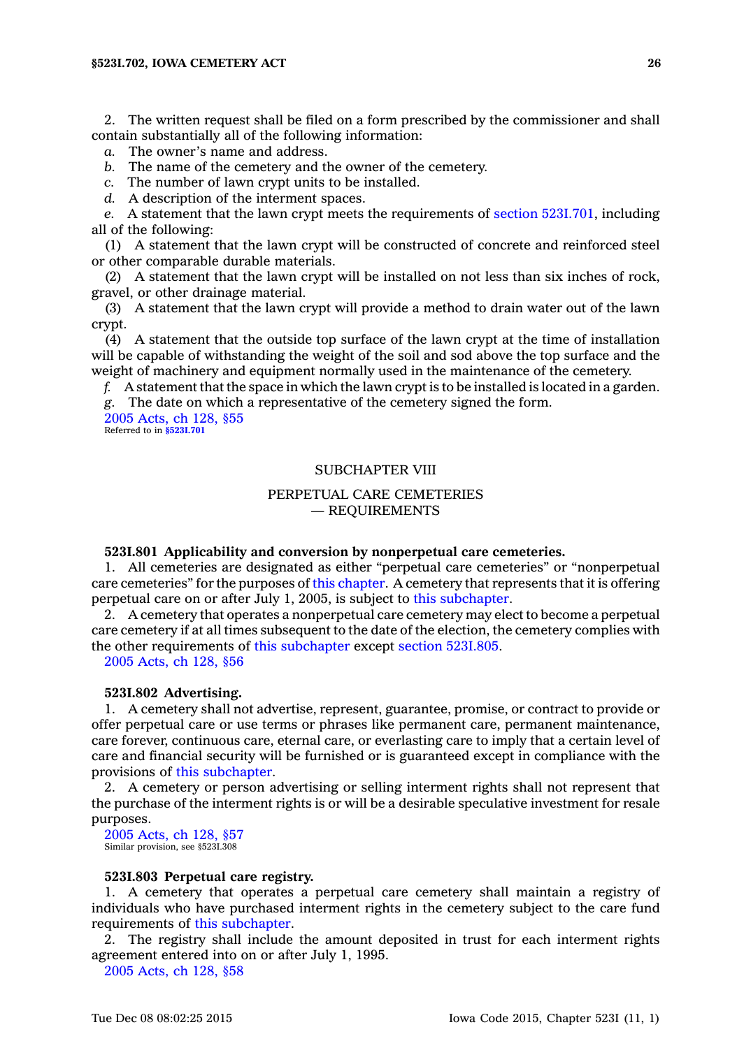2. The written request shall be filed on <sup>a</sup> form prescribed by the commissioner and shall contain substantially all of the following information:

*a.* The owner's name and address.

*b.* The name of the cemetery and the owner of the cemetery.

*c.* The number of lawn crypt units to be installed.

*d.* A description of the interment spaces.

*e.* A statement that the lawn crypt meets the requirements of section [523I.701](https://www.legis.iowa.gov/docs/code//523I.701.pdf), including all of the following:

(1) A statement that the lawn crypt will be constructed of concrete and reinforced steel or other comparable durable materials.

(2) A statement that the lawn crypt will be installed on not less than six inches of rock, gravel, or other drainage material.

(3) A statement that the lawn crypt will provide <sup>a</sup> method to drain water out of the lawn crypt.

(4) A statement that the outside top surface of the lawn crypt at the time of installation will be capable of withstanding the weight of the soil and sod above the top surface and the weight of machinery and equipment normally used in the maintenance of the cemetery.

*f.* A statement that the space in which the lawn crypt is to be installed is located in <sup>a</sup> garden. *g.* The date on which <sup>a</sup> representative of the cemetery signed the form.

2005 [Acts,](https://www.legis.iowa.gov/docs/acts/2005/CH0128.pdf) ch 128, §55 Referred to in **[§523I.701](https://www.legis.iowa.gov/docs/code/523I.701.pdf)**

# SUBCHAPTER VIII

# PERPETUAL CARE CEMETERIES — REQUIREMENTS

#### **523I.801 Applicability and conversion by nonperpetual care cemeteries.**

1. All cemeteries are designated as either "perpetual care cemeteries" or "nonperpetual care cemeteries" for the purposes of this [chapter](https://www.legis.iowa.gov/docs/code//523I.pdf). A cemetery that represents that it is offering perpetual care on or after July 1, 2005, is subject to this [subchapter](https://www.legis.iowa.gov/docs/code//523I.pdf).

2. A cemetery that operates <sup>a</sup> nonperpetual care cemetery may elect to become <sup>a</sup> perpetual care cemetery if at all times subsequent to the date of the election, the cemetery complies with the other requirements of this [subchapter](https://www.legis.iowa.gov/docs/code//523I.pdf) except section [523I.805](https://www.legis.iowa.gov/docs/code//523I.805.pdf).

2005 [Acts,](https://www.legis.iowa.gov/docs/acts/2005/CH0128.pdf) ch 128, §56

# **523I.802 Advertising.**

1. A cemetery shall not advertise, represent, guarantee, promise, or contract to provide or offer perpetual care or use terms or phrases like permanent care, permanent maintenance, care forever, continuous care, eternal care, or everlasting care to imply that <sup>a</sup> certain level of care and financial security will be furnished or is guaranteed except in compliance with the provisions of this [subchapter](https://www.legis.iowa.gov/docs/code//523I.pdf).

2. A cemetery or person advertising or selling interment rights shall not represent that the purchase of the interment rights is or will be <sup>a</sup> desirable speculative investment for resale purposes.

2005 [Acts,](https://www.legis.iowa.gov/docs/acts/2005/CH0128.pdf) ch 128, §57 Similar provision, see §523I.308

#### **523I.803 Perpetual care registry.**

1. A cemetery that operates <sup>a</sup> perpetual care cemetery shall maintain <sup>a</sup> registry of individuals who have purchased interment rights in the cemetery subject to the care fund requirements of this [subchapter](https://www.legis.iowa.gov/docs/code//523I.pdf).

2. The registry shall include the amount deposited in trust for each interment rights agreement entered into on or after July 1, 1995.

2005 [Acts,](https://www.legis.iowa.gov/docs/acts/2005/CH0128.pdf) ch 128, §58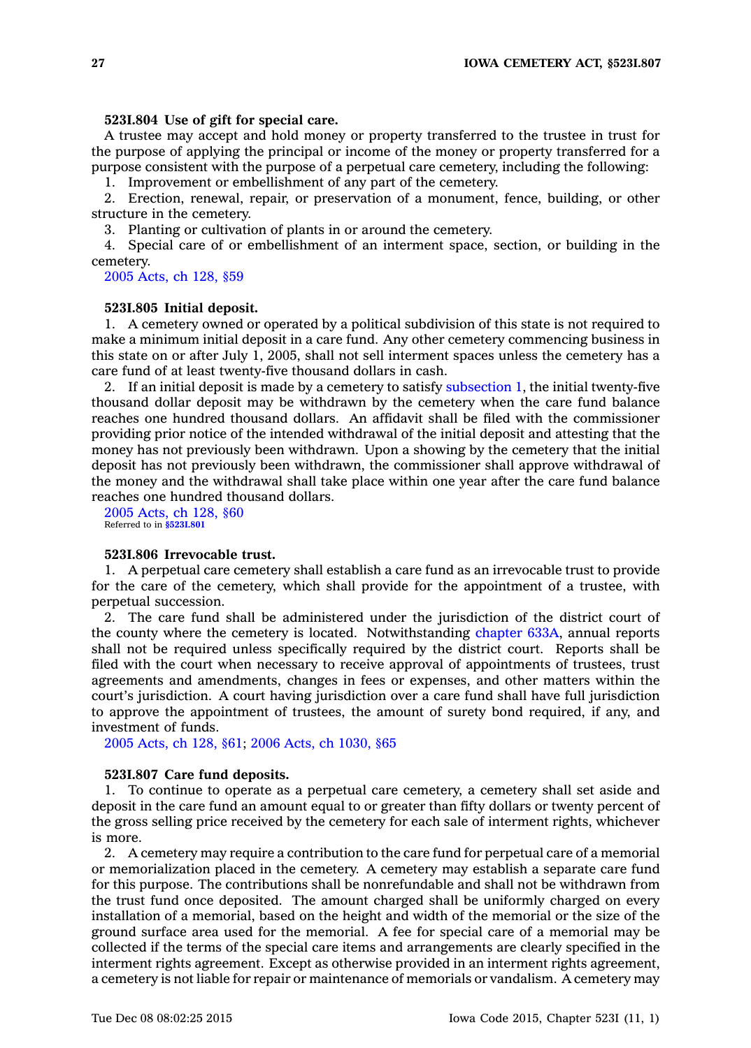### **523I.804 Use of gift for special care.**

A trustee may accept and hold money or property transferred to the trustee in trust for the purpose of applying the principal or income of the money or property transferred for <sup>a</sup> purpose consistent with the purpose of <sup>a</sup> perpetual care cemetery, including the following:

1. Improvement or embellishment of any part of the cemetery.

2. Erection, renewal, repair, or preservation of <sup>a</sup> monument, fence, building, or other structure in the cemetery.

3. Planting or cultivation of plants in or around the cemetery.

4. Special care of or embellishment of an interment space, section, or building in the cemetery.

2005 [Acts,](https://www.legis.iowa.gov/docs/acts/2005/CH0128.pdf) ch 128, §59

#### **523I.805 Initial deposit.**

1. A cemetery owned or operated by <sup>a</sup> political subdivision of this state is not required to make <sup>a</sup> minimum initial deposit in <sup>a</sup> care fund. Any other cemetery commencing business in this state on or after July 1, 2005, shall not sell interment spaces unless the cemetery has <sup>a</sup> care fund of at least twenty-five thousand dollars in cash.

2. If an initial deposit is made by a cemetery to satisfy [subsection](https://www.legis.iowa.gov/docs/code//523I.805.pdf) 1, the initial twenty-five thousand dollar deposit may be withdrawn by the cemetery when the care fund balance reaches one hundred thousand dollars. An affidavit shall be filed with the commissioner providing prior notice of the intended withdrawal of the initial deposit and attesting that the money has not previously been withdrawn. Upon <sup>a</sup> showing by the cemetery that the initial deposit has not previously been withdrawn, the commissioner shall approve withdrawal of the money and the withdrawal shall take place within one year after the care fund balance reaches one hundred thousand dollars.

2005 [Acts,](https://www.legis.iowa.gov/docs/acts/2005/CH0128.pdf) ch 128, §60 Referred to in **[§523I.801](https://www.legis.iowa.gov/docs/code/523I.801.pdf)**

#### **523I.806 Irrevocable trust.**

1. A perpetual care cemetery shall establish <sup>a</sup> care fund as an irrevocable trust to provide for the care of the cemetery, which shall provide for the appointment of <sup>a</sup> trustee, with perpetual succession.

2. The care fund shall be administered under the jurisdiction of the district court of the county where the cemetery is located. Notwithstanding [chapter](https://www.legis.iowa.gov/docs/code//633A.pdf) 633A, annual reports shall not be required unless specifically required by the district court. Reports shall be filed with the court when necessary to receive approval of appointments of trustees, trust agreements and amendments, changes in fees or expenses, and other matters within the court's jurisdiction. A court having jurisdiction over <sup>a</sup> care fund shall have full jurisdiction to approve the appointment of trustees, the amount of surety bond required, if any, and investment of funds.

2005 [Acts,](https://www.legis.iowa.gov/docs/acts/2005/CH0128.pdf) ch 128, §61; 2006 Acts, ch [1030,](https://www.legis.iowa.gov/docs/acts/2006/CH1030.pdf) §65

#### **523I.807 Care fund deposits.**

1. To continue to operate as <sup>a</sup> perpetual care cemetery, <sup>a</sup> cemetery shall set aside and deposit in the care fund an amount equal to or greater than fifty dollars or twenty percent of the gross selling price received by the cemetery for each sale of interment rights, whichever is more.

2. A cemetery may require <sup>a</sup> contribution to the care fund for perpetual care of <sup>a</sup> memorial or memorialization placed in the cemetery. A cemetery may establish <sup>a</sup> separate care fund for this purpose. The contributions shall be nonrefundable and shall not be withdrawn from the trust fund once deposited. The amount charged shall be uniformly charged on every installation of <sup>a</sup> memorial, based on the height and width of the memorial or the size of the ground surface area used for the memorial. A fee for special care of <sup>a</sup> memorial may be collected if the terms of the special care items and arrangements are clearly specified in the interment rights agreement. Except as otherwise provided in an interment rights agreement, <sup>a</sup> cemetery is not liable for repair or maintenance of memorials or vandalism. A cemetery may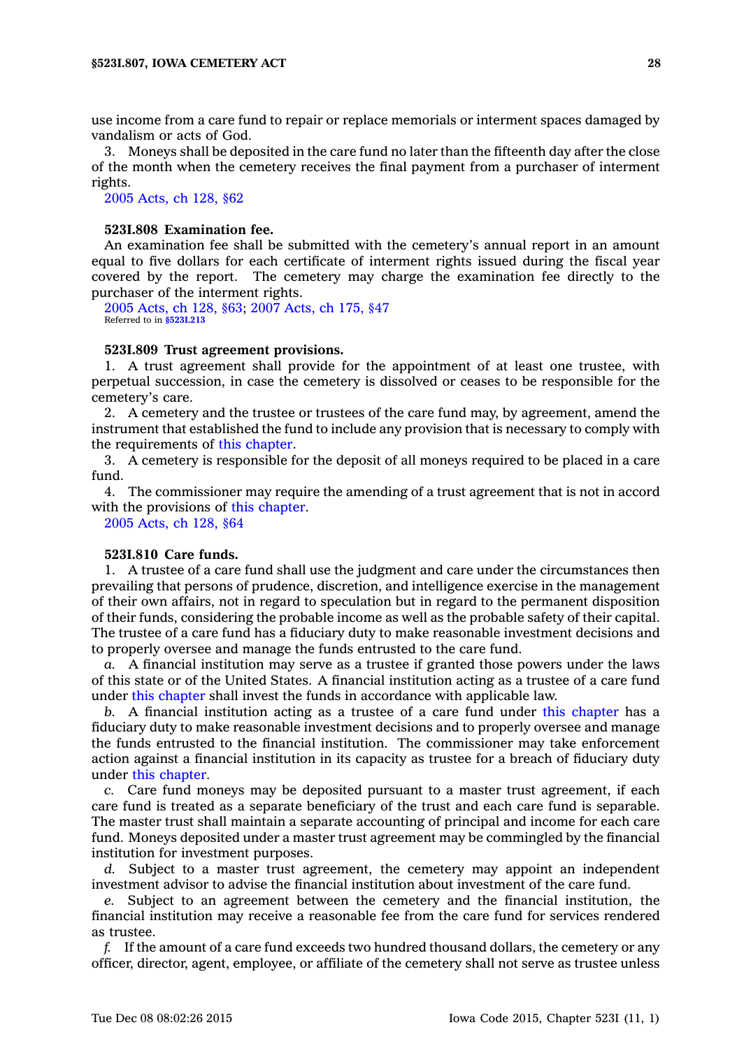use income from <sup>a</sup> care fund to repair or replace memorials or interment spaces damaged by vandalism or acts of God.

3. Moneys shall be deposited in the care fund no later than the fifteenth day after the close of the month when the cemetery receives the final payment from <sup>a</sup> purchaser of interment rights.

2005 [Acts,](https://www.legis.iowa.gov/docs/acts/2005/CH0128.pdf) ch 128, §62

### **523I.808 Examination fee.**

An examination fee shall be submitted with the cemetery's annual report in an amount equal to five dollars for each certificate of interment rights issued during the fiscal year covered by the report. The cemetery may charge the examination fee directly to the purchaser of the interment rights.

2005 [Acts,](https://www.legis.iowa.gov/docs/acts/2005/CH0128.pdf) ch 128, §63; 2007 [Acts,](https://www.legis.iowa.gov/docs/acts/2007/CH0175.pdf) ch 175, §47 Referred to in **[§523I.213](https://www.legis.iowa.gov/docs/code/523I.213.pdf)**

### **523I.809 Trust agreement provisions.**

1. A trust agreement shall provide for the appointment of at least one trustee, with perpetual succession, in case the cemetery is dissolved or ceases to be responsible for the cemetery's care.

2. A cemetery and the trustee or trustees of the care fund may, by agreement, amend the instrument that established the fund to include any provision that is necessary to comply with the requirements of this [chapter](https://www.legis.iowa.gov/docs/code//523I.pdf).

3. A cemetery is responsible for the deposit of all moneys required to be placed in <sup>a</sup> care fund.

4. The commissioner may require the amending of <sup>a</sup> trust agreement that is not in accord with the provisions of this [chapter](https://www.legis.iowa.gov/docs/code//523I.pdf).

2005 [Acts,](https://www.legis.iowa.gov/docs/acts/2005/CH0128.pdf) ch 128, §64

### **523I.810 Care funds.**

1. A trustee of <sup>a</sup> care fund shall use the judgment and care under the circumstances then prevailing that persons of prudence, discretion, and intelligence exercise in the management of their own affairs, not in regard to speculation but in regard to the permanent disposition of their funds, considering the probable income as well as the probable safety of their capital. The trustee of <sup>a</sup> care fund has <sup>a</sup> fiduciary duty to make reasonable investment decisions and to properly oversee and manage the funds entrusted to the care fund.

*a.* A financial institution may serve as <sup>a</sup> trustee if granted those powers under the laws of this state or of the United States. A financial institution acting as <sup>a</sup> trustee of <sup>a</sup> care fund under this [chapter](https://www.legis.iowa.gov/docs/code//523I.pdf) shall invest the funds in accordance with applicable law.

*b.* A financial institution acting as <sup>a</sup> trustee of <sup>a</sup> care fund under this [chapter](https://www.legis.iowa.gov/docs/code//523I.pdf) has <sup>a</sup> fiduciary duty to make reasonable investment decisions and to properly oversee and manage the funds entrusted to the financial institution. The commissioner may take enforcement action against <sup>a</sup> financial institution in its capacity as trustee for <sup>a</sup> breach of fiduciary duty under this [chapter](https://www.legis.iowa.gov/docs/code//523I.pdf).

*c.* Care fund moneys may be deposited pursuant to <sup>a</sup> master trust agreement, if each care fund is treated as <sup>a</sup> separate beneficiary of the trust and each care fund is separable. The master trust shall maintain <sup>a</sup> separate accounting of principal and income for each care fund. Moneys deposited under <sup>a</sup> master trust agreement may be commingled by the financial institution for investment purposes.

*d.* Subject to <sup>a</sup> master trust agreement, the cemetery may appoint an independent investment advisor to advise the financial institution about investment of the care fund.

*e.* Subject to an agreement between the cemetery and the financial institution, the financial institution may receive <sup>a</sup> reasonable fee from the care fund for services rendered as trustee.

*f.* If the amount of <sup>a</sup> care fund exceeds two hundred thousand dollars, the cemetery or any officer, director, agent, employee, or affiliate of the cemetery shall not serve as trustee unless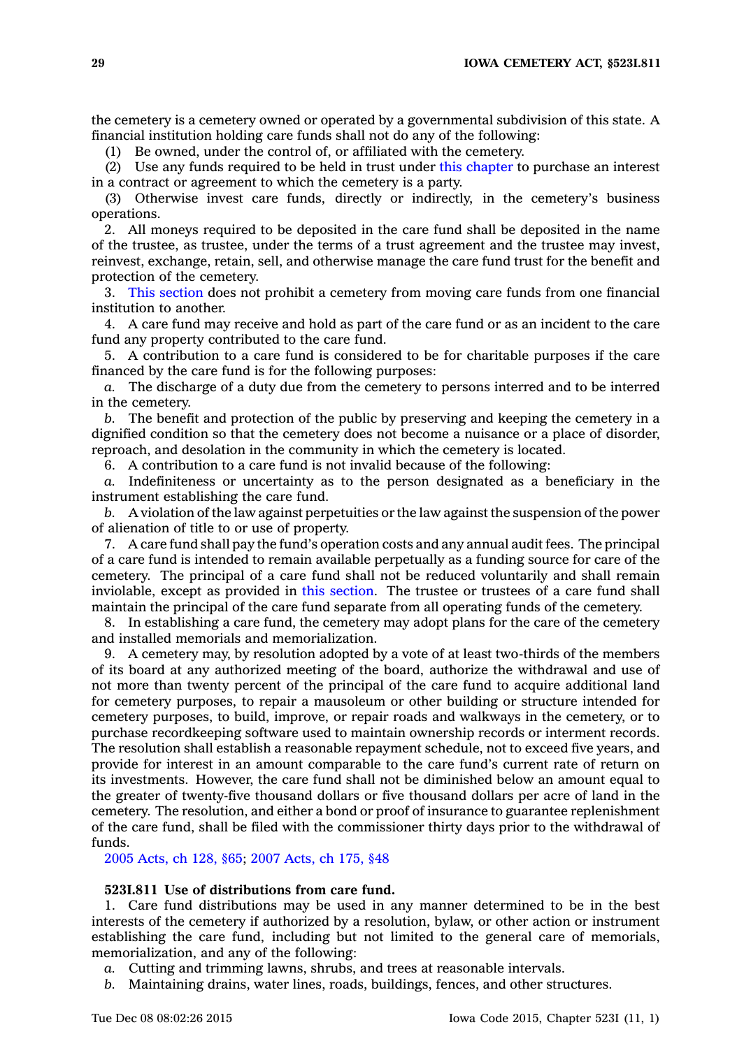the cemetery is <sup>a</sup> cemetery owned or operated by <sup>a</sup> governmental subdivision of this state. A financial institution holding care funds shall not do any of the following:

(1) Be owned, under the control of, or affiliated with the cemetery.

(2) Use any funds required to be held in trust under this [chapter](https://www.legis.iowa.gov/docs/code//523I.pdf) to purchase an interest in <sup>a</sup> contract or agreement to which the cemetery is <sup>a</sup> party.

(3) Otherwise invest care funds, directly or indirectly, in the cemetery's business operations.

2. All moneys required to be deposited in the care fund shall be deposited in the name of the trustee, as trustee, under the terms of <sup>a</sup> trust agreement and the trustee may invest, reinvest, exchange, retain, sell, and otherwise manage the care fund trust for the benefit and protection of the cemetery.

3. This [section](https://www.legis.iowa.gov/docs/code//523I.810.pdf) does not prohibit <sup>a</sup> cemetery from moving care funds from one financial institution to another.

4. A care fund may receive and hold as part of the care fund or as an incident to the care fund any property contributed to the care fund.

5. A contribution to <sup>a</sup> care fund is considered to be for charitable purposes if the care financed by the care fund is for the following purposes:

*a.* The discharge of <sup>a</sup> duty due from the cemetery to persons interred and to be interred in the cemetery.

*b.* The benefit and protection of the public by preserving and keeping the cemetery in <sup>a</sup> dignified condition so that the cemetery does not become <sup>a</sup> nuisance or <sup>a</sup> place of disorder, reproach, and desolation in the community in which the cemetery is located.

6. A contribution to <sup>a</sup> care fund is not invalid because of the following:

*a.* Indefiniteness or uncertainty as to the person designated as <sup>a</sup> beneficiary in the instrument establishing the care fund.

*b.* A violation of the law against perpetuities or the law against the suspension of the power of alienation of title to or use of property.

7. A care fund shall pay the fund's operation costs and any annual audit fees. The principal of <sup>a</sup> care fund is intended to remain available perpetually as <sup>a</sup> funding source for care of the cemetery. The principal of <sup>a</sup> care fund shall not be reduced voluntarily and shall remain inviolable, except as provided in this [section](https://www.legis.iowa.gov/docs/code//523I.810.pdf). The trustee or trustees of <sup>a</sup> care fund shall maintain the principal of the care fund separate from all operating funds of the cemetery.

8. In establishing <sup>a</sup> care fund, the cemetery may adopt plans for the care of the cemetery and installed memorials and memorialization.

9. A cemetery may, by resolution adopted by <sup>a</sup> vote of at least two-thirds of the members of its board at any authorized meeting of the board, authorize the withdrawal and use of not more than twenty percent of the principal of the care fund to acquire additional land for cemetery purposes, to repair <sup>a</sup> mausoleum or other building or structure intended for cemetery purposes, to build, improve, or repair roads and walkways in the cemetery, or to purchase recordkeeping software used to maintain ownership records or interment records. The resolution shall establish <sup>a</sup> reasonable repayment schedule, not to exceed five years, and provide for interest in an amount comparable to the care fund's current rate of return on its investments. However, the care fund shall not be diminished below an amount equal to the greater of twenty-five thousand dollars or five thousand dollars per acre of land in the cemetery. The resolution, and either <sup>a</sup> bond or proof of insurance to guarantee replenishment of the care fund, shall be filed with the commissioner thirty days prior to the withdrawal of funds.

2005 [Acts,](https://www.legis.iowa.gov/docs/acts/2005/CH0128.pdf) ch 128, §65; 2007 [Acts,](https://www.legis.iowa.gov/docs/acts/2007/CH0175.pdf) ch 175, §48

### **523I.811 Use of distributions from care fund.**

1. Care fund distributions may be used in any manner determined to be in the best interests of the cemetery if authorized by <sup>a</sup> resolution, bylaw, or other action or instrument establishing the care fund, including but not limited to the general care of memorials, memorialization, and any of the following:

*a.* Cutting and trimming lawns, shrubs, and trees at reasonable intervals.

*b.* Maintaining drains, water lines, roads, buildings, fences, and other structures.